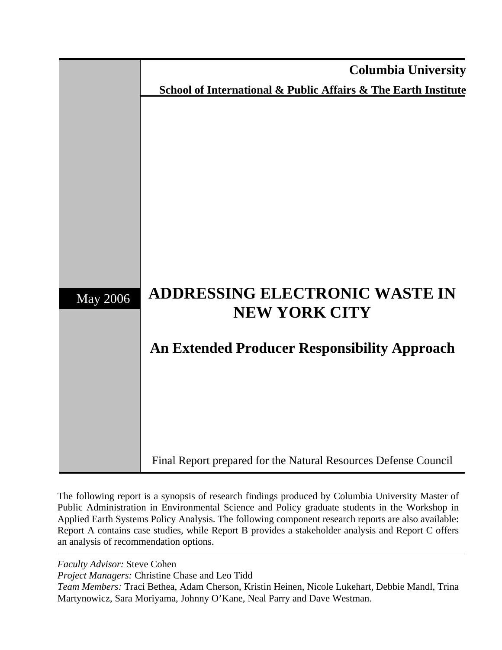

The following report is a synopsis of research findings produced by Columbia University Master of Public Administration in Environmental Science and Policy graduate students in the Workshop in Applied Earth Systems Policy Analysis. The following component research reports are also available: Report A contains case studies, while Report B provides a stakeholder analysis and Report C offers an analysis of recommendation options.

*Faculty Advisor:* Steve Cohen

*Project Managers:* Christine Chase and Leo Tidd

*Team Members:* Traci Bethea, Adam Cherson, Kristin Heinen, Nicole Lukehart, Debbie Mandl, Trina Martynowicz, Sara Moriyama, Johnny O'Kane, Neal Parry and Dave Westman.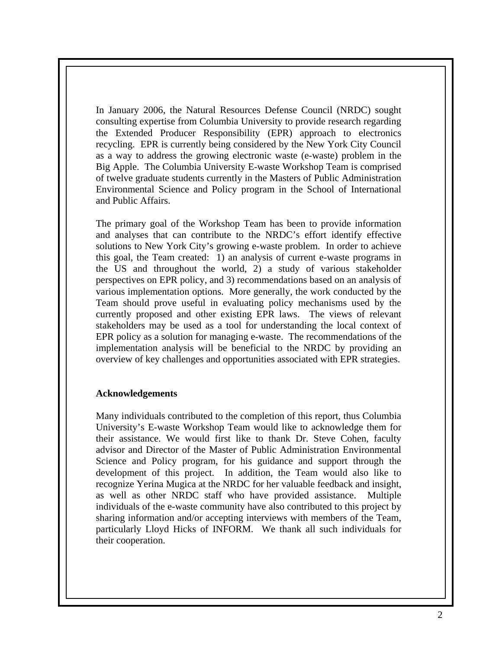In January 2006, the Natural Resources Defense Council (NRDC) sought consulting expertise from Columbia University to provide research regarding the Extended Producer Responsibility (EPR) approach to electronics recycling. EPR is currently being considered by the New York City Council as a way to address the growing electronic waste (e-waste) problem in the Big Apple. The Columbia University E-waste Workshop Team is comprised of twelve graduate students currently in the Masters of Public Administration Environmental Science and Policy program in the School of International and Public Affairs.

The primary goal of the Workshop Team has been to provide information and analyses that can contribute to the NRDC's effort identify effective solutions to New York City's growing e-waste problem. In order to achieve this goal, the Team created: 1) an analysis of current e-waste programs in the US and throughout the world, 2) a study of various stakeholder perspectives on EPR policy, and 3) recommendations based on an analysis of various implementation options. More generally, the work conducted by the Team should prove useful in evaluating policy mechanisms used by the currently proposed and other existing EPR laws. The views of relevant stakeholders may be used as a tool for understanding the local context of EPR policy as a solution for managing e-waste. The recommendations of the implementation analysis will be beneficial to the NRDC by providing an overview of key challenges and opportunities associated with EPR strategies.

#### **Acknowledgements**

Many individuals contributed to the completion of this report, thus Columbia University's E-waste Workshop Team would like to acknowledge them for their assistance. We would first like to thank Dr. Steve Cohen, faculty advisor and Director of the Master of Public Administration Environmental Science and Policy program, for his guidance and support through the development of this project. In addition, the Team would also like to recognize Yerina Mugica at the NRDC for her valuable feedback and insight, as well as other NRDC staff who have provided assistance. Multiple individuals of the e-waste community have also contributed to this project by sharing information and/or accepting interviews with members of the Team, particularly Lloyd Hicks of INFORM. We thank all such individuals for their cooperation.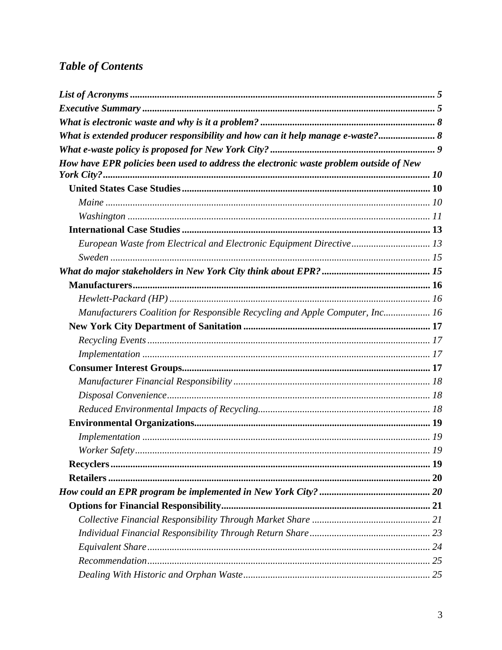# **Table of Contents**

| What is extended producer responsibility and how can it help manage e-waste? 8         |  |
|----------------------------------------------------------------------------------------|--|
|                                                                                        |  |
| How have EPR policies been used to address the electronic waste problem outside of New |  |
| $\textit{York City?} \dots$                                                            |  |
|                                                                                        |  |
|                                                                                        |  |
|                                                                                        |  |
|                                                                                        |  |
| European Waste from Electrical and Electronic Equipment Directive 13                   |  |
|                                                                                        |  |
|                                                                                        |  |
|                                                                                        |  |
|                                                                                        |  |
| Manufacturers Coalition for Responsible Recycling and Apple Computer, Inc 16           |  |
|                                                                                        |  |
|                                                                                        |  |
|                                                                                        |  |
|                                                                                        |  |
|                                                                                        |  |
|                                                                                        |  |
|                                                                                        |  |
|                                                                                        |  |
|                                                                                        |  |
|                                                                                        |  |
|                                                                                        |  |
|                                                                                        |  |
|                                                                                        |  |
|                                                                                        |  |
|                                                                                        |  |
|                                                                                        |  |
|                                                                                        |  |
|                                                                                        |  |
|                                                                                        |  |
|                                                                                        |  |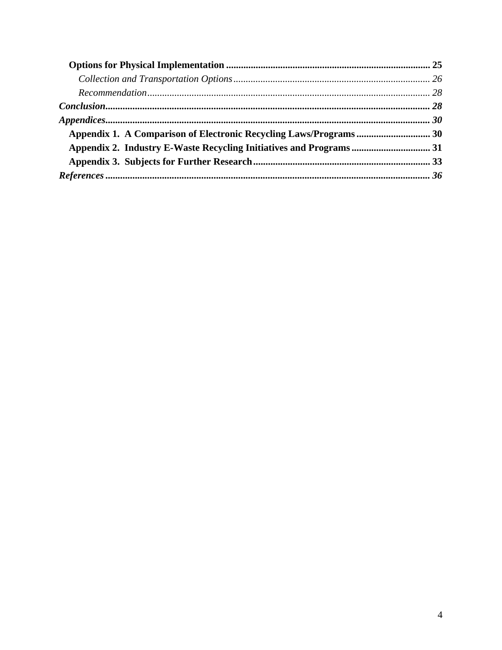| $References \dots 36$ |
|-----------------------|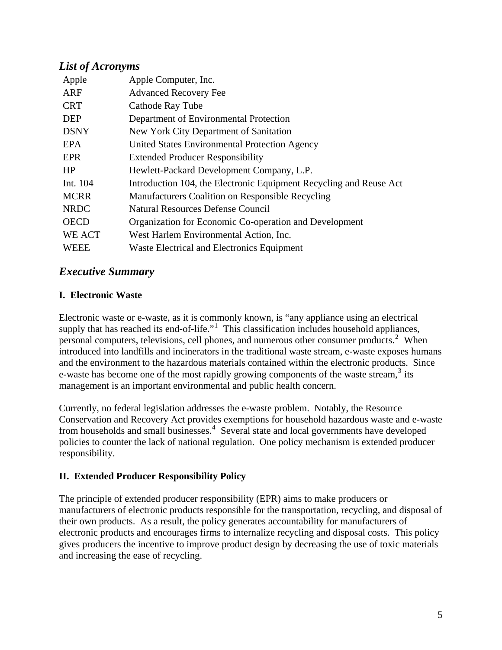# <span id="page-4-0"></span>*List of Acronyms*

| Apple       | Apple Computer, Inc.                                               |
|-------------|--------------------------------------------------------------------|
| ARF         | <b>Advanced Recovery Fee</b>                                       |
| <b>CRT</b>  | Cathode Ray Tube                                                   |
| <b>DEP</b>  | Department of Environmental Protection                             |
| <b>DSNY</b> | New York City Department of Sanitation                             |
| EPA         | United States Environmental Protection Agency                      |
| <b>EPR</b>  | <b>Extended Producer Responsibility</b>                            |
| HP          | Hewlett-Packard Development Company, L.P.                          |
| Int. 104    | Introduction 104, the Electronic Equipment Recycling and Reuse Act |
| <b>MCRR</b> | Manufacturers Coalition on Responsible Recycling                   |
| <b>NRDC</b> | <b>Natural Resources Defense Council</b>                           |
| <b>OECD</b> | Organization for Economic Co-operation and Development             |
| WE ACT      | West Harlem Environmental Action, Inc.                             |
| <b>WEEE</b> | Waste Electrical and Electronics Equipment                         |

# *Executive Summary*

# **I. Electronic Waste**

Electronic waste or e-waste, as it is commonly known, is "any appliance using an electrical supply that has reached its end-of-life."<sup>[1](#page-41-0)</sup> This classification includes household appliances, personal computers, televisions, cell phones, and numerous other consumer products.<sup>[2](#page-41-1)</sup> When introduced into landfills and incinerators in the traditional waste stream, e-waste exposes humans and the environment to the hazardous materials contained within the electronic products. Since e-waste has become one of the most rapidly growing components of the waste stream, $3$  its management is an important environmental and public health concern.

Currently, no federal legislation addresses the e-waste problem. Notably, the Resource Conservation and Recovery Act provides exemptions for household hazardous waste and e-waste from households and small businesses.<sup>[4](#page-41-1)</sup> Several state and local governments have developed policies to counter the lack of national regulation. One policy mechanism is extended producer responsibility.

# **II. Extended Producer Responsibility Policy**

The principle of extended producer responsibility (EPR) aims to make producers or manufacturers of electronic products responsible for the transportation, recycling, and disposal of their own products. As a result, the policy generates accountability for manufacturers of electronic products and encourages firms to internalize recycling and disposal costs. This policy gives producers the incentive to improve product design by decreasing the use of toxic materials and increasing the ease of recycling.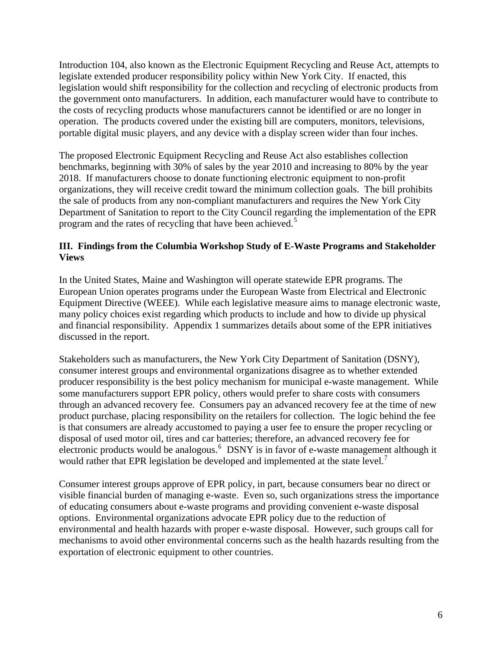Introduction 104, also known as the Electronic Equipment Recycling and Reuse Act, attempts to legislate extended producer responsibility policy within New York City. If enacted, this legislation would shift responsibility for the collection and recycling of electronic products from the government onto manufacturers. In addition, each manufacturer would have to contribute to the costs of recycling products whose manufacturers cannot be identified or are no longer in operation. The products covered under the existing bill are computers, monitors, televisions, portable digital music players, and any device with a display screen wider than four inches.

The proposed Electronic Equipment Recycling and Reuse Act also establishes collection benchmarks, beginning with 30% of sales by the year 2010 and increasing to 80% by the year 2018. If manufacturers choose to donate functioning electronic equipment to non-profit organizations, they will receive credit toward the minimum collection goals. The bill prohibits the sale of products from any non-compliant manufacturers and requires the New York City Department of Sanitation to report to the City Council regarding the implementation of the EPR program and the rates of recycling that have been achieved.<sup>[5](#page-41-1)</sup>

#### **III. Findings from the Columbia Workshop Study of E-Waste Programs and Stakeholder Views**

In the United States, Maine and Washington will operate statewide EPR programs. The European Union operates programs under the European Waste from Electrical and Electronic Equipment Directive (WEEE). While each legislative measure aims to manage electronic waste, many policy choices exist regarding which products to include and how to divide up physical and financial responsibility. Appendix 1 summarizes details about some of the EPR initiatives discussed in the report.

Stakeholders such as manufacturers, the New York City Department of Sanitation (DSNY), consumer interest groups and environmental organizations disagree as to whether extended producer responsibility is the best policy mechanism for municipal e-waste management. While some manufacturers support EPR policy, others would prefer to share costs with consumers through an advanced recovery fee. Consumers pay an advanced recovery fee at the time of new product purchase, placing responsibility on the retailers for collection. The logic behind the fee is that consumers are already accustomed to paying a user fee to ensure the proper recycling or disposal of used motor oil, tires and car batteries; therefore, an advanced recovery fee for electronic products would be analogous.<sup>[6](#page-41-1)</sup> DSNY is in favor of e-waste management although it would rather that EPR legislation be developed and implemented at the state level.<sup>[7](#page-41-1)</sup>

Consumer interest groups approve of EPR policy, in part, because consumers bear no direct or visible financial burden of managing e-waste. Even so, such organizations stress the importance of educating consumers about e-waste programs and providing convenient e-waste disposal options. Environmental organizations advocate EPR policy due to the reduction of environmental and health hazards with proper e-waste disposal. However, such groups call for mechanisms to avoid other environmental concerns such as the health hazards resulting from the exportation of electronic equipment to other countries.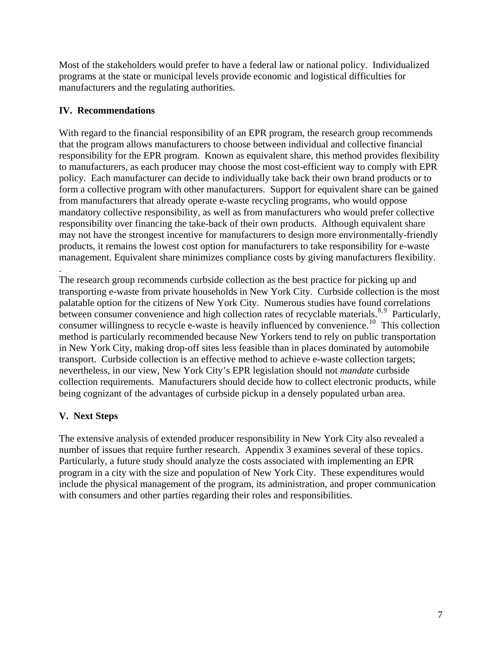Most of the stakeholders would prefer to have a federal law or national policy. Individualized programs at the state or municipal levels provide economic and logistical difficulties for manufacturers and the regulating authorities.

# **IV. Recommendations**

With regard to the financial responsibility of an EPR program, the research group recommends that the program allows manufacturers to choose between individual and collective financial responsibility for the EPR program. Known as equivalent share, this method provides flexibility to manufacturers, as each producer may choose the most cost-efficient way to comply with EPR policy. Each manufacturer can decide to individually take back their own brand products or to form a collective program with other manufacturers. Support for equivalent share can be gained from manufacturers that already operate e-waste recycling programs, who would oppose mandatory collective responsibility, as well as from manufacturers who would prefer collective responsibility over financing the take-back of their own products. Although equivalent share may not have the strongest incentive for manufacturers to design more environmentally-friendly products, it remains the lowest cost option for manufacturers to take responsibility for e-waste management. Equivalent share minimizes compliance costs by giving manufacturers flexibility.

. The research group recommends curbside collection as the best practice for picking up and transporting e-waste from private households in New York City. Curbside collection is the most palatable option for the citizens of New York City. Numerous studies have found correlations between consumer convenience and high collection rates of recyclable materials.<sup>[8](#page-41-1),[9](#page-41-1)</sup> Particularly, consumer willingness to recycle e-waste is heavily influenced by convenience.<sup>[10](#page-41-1)</sup> This collection method is particularly recommended because New Yorkers tend to rely on public transportation in New York City, making drop-off sites less feasible than in places dominated by automobile transport. Curbside collection is an effective method to achieve e-waste collection targets; nevertheless, in our view, New York City's EPR legislation should not *mandate* curbside collection requirements. Manufacturers should decide how to collect electronic products, while being cognizant of the advantages of curbside pickup in a densely populated urban area.

# **V. Next Steps**

The extensive analysis of extended producer responsibility in New York City also revealed a number of issues that require further research. Appendix 3 examines several of these topics. Particularly, a future study should analyze the costs associated with implementing an EPR program in a city with the size and population of New York City. These expenditures would include the physical management of the program, its administration, and proper communication with consumers and other parties regarding their roles and responsibilities.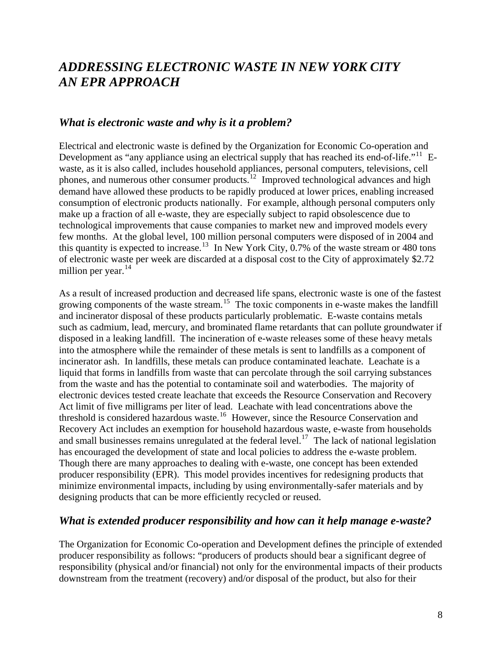# <span id="page-7-0"></span>*ADDRESSING ELECTRONIC WASTE IN NEW YORK CITY AN EPR APPROACH*

## *What is electronic waste and why is it a problem?*

Electrical and electronic waste is defined by the Organization for Economic Co-operation and Development as "any appliance using an electrical supply that has reached its end-of-life."<sup>[11](#page-41-1)</sup> Ewaste, as it is also called, includes household appliances, personal computers, televisions, cell phones, and numerous other consumer products.<sup>[12](#page-41-1)</sup> Improved technological advances and high demand have allowed these products to be rapidly produced at lower prices, enabling increased consumption of electronic products nationally. For example, although personal computers only make up a fraction of all e-waste, they are especially subject to rapid obsolescence due to technological improvements that cause companies to market new and improved models every few months. At the global level, 100 million personal computers were disposed of in 2004 and this quantity is expected to increase.<sup>[13](#page-41-1)</sup> In New York City, 0.7% of the waste stream or 480 tons of electronic waste per week are discarded at a disposal cost to the City of approximately \$2.72 million per year. $^{14}$  $^{14}$  $^{14}$ 

As a result of increased production and decreased life spans, electronic waste is one of the fastest growing components of the waste stream.<sup>[15](#page-41-1)</sup> The toxic components in e-waste makes the landfill and incinerator disposal of these products particularly problematic. E-waste contains metals such as cadmium, lead, mercury, and brominated flame retardants that can pollute groundwater if disposed in a leaking landfill. The incineration of e-waste releases some of these heavy metals into the atmosphere while the remainder of these metals is sent to landfills as a component of incinerator ash. In landfills, these metals can produce contaminated leachate. Leachate is a liquid that forms in landfills from waste that can percolate through the soil carrying substances from the waste and has the potential to contaminate soil and waterbodies. The majority of electronic devices tested create leachate that exceeds the Resource Conservation and Recovery Act limit of five milligrams per liter of lead. Leachate with lead concentrations above the threshold is considered hazardous waste.<sup>[16](#page-41-1)</sup> However, since the Resource Conservation and Recovery Act includes an exemption for household hazardous waste, e-waste from households and small businesses remains unregulated at the federal level.<sup>[17](#page-41-1)</sup> The lack of national legislation has encouraged the development of state and local policies to address the e-waste problem. Though there are many approaches to dealing with e-waste, one concept has been extended producer responsibility (EPR). This model provides incentives for redesigning products that minimize environmental impacts, including by using environmentally-safer materials and by designing products that can be more efficiently recycled or reused.

## *What is extended producer responsibility and how can it help manage e-waste?*

The Organization for Economic Co-operation and Development defines the principle of extended producer responsibility as follows: "producers of products should bear a significant degree of responsibility (physical and/or financial) not only for the environmental impacts of their products downstream from the treatment (recovery) and/or disposal of the product, but also for their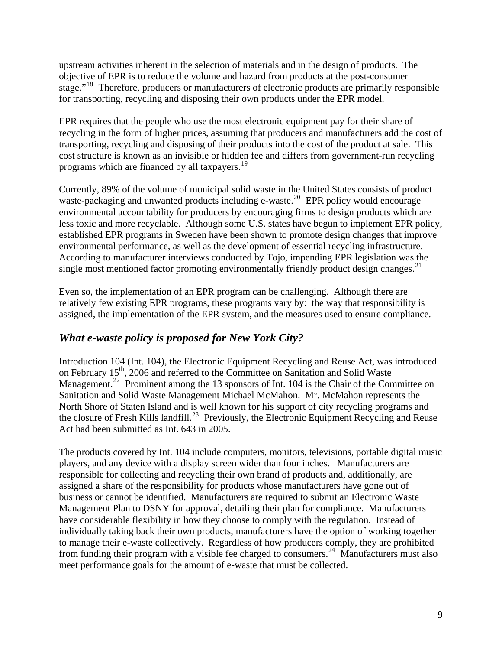<span id="page-8-0"></span>upstream activities inherent in the selection of materials and in the design of products*.* The objective of EPR is to reduce the volume and hazard from products at the post-consumer stage."<sup>[18](#page-41-1)</sup> Therefore, producers or manufacturers of electronic products are primarily responsible for transporting, recycling and disposing their own products under the EPR model.

EPR requires that the people who use the most electronic equipment pay for their share of recycling in the form of higher prices, assuming that producers and manufacturers add the cost of transporting, recycling and disposing of their products into the cost of the product at sale. This cost structure is known as an invisible or hidden fee and differs from government-run recycling programs which are financed by all taxpayers.<sup>[19](#page-41-1)</sup>

Currently, 89% of the volume of municipal solid waste in the United States consists of product waste-packaging and unwanted products including e-waste.<sup>[20](#page-41-1)</sup> EPR policy would encourage environmental accountability for producers by encouraging firms to design products which are less toxic and more recyclable. Although some U.S. states have begun to implement EPR policy, established EPR programs in Sweden have been shown to promote design changes that improve environmental performance, as well as the development of essential recycling infrastructure. According to manufacturer interviews conducted by Tojo, impending EPR legislation was the single most mentioned factor promoting environmentally friendly product design changes.<sup>[21](#page-41-1)</sup>

Even so, the implementation of an EPR program can be challenging. Although there are relatively few existing EPR programs, these programs vary by: the way that responsibility is assigned, the implementation of the EPR system, and the measures used to ensure compliance.

# *What e-waste policy is proposed for New York City?*

Introduction 104 (Int. 104), the Electronic Equipment Recycling and Reuse Act, was introduced on February 15<sup>th</sup>, 2006 and referred to the Committee on Sanitation and Solid Waste Management.<sup>[22](#page-41-1)</sup> Prominent among the 13 sponsors of Int. 104 is the Chair of the Committee on Sanitation and Solid Waste Management Michael McMahon. Mr. McMahon represents the North Shore of Staten Island and is well known for his support of city recycling programs and the closure of Fresh Kills landfill.<sup>[23](#page-41-1)</sup> Previously, the Electronic Equipment Recycling and Reuse Act had been submitted as Int. 643 in 2005.

The products covered by Int. 104 include computers, monitors, televisions, portable digital music players, and any device with a display screen wider than four inches. Manufacturers are responsible for collecting and recycling their own brand of products and, additionally, are assigned a share of the responsibility for products whose manufacturers have gone out of business or cannot be identified. Manufacturers are required to submit an Electronic Waste Management Plan to DSNY for approval, detailing their plan for compliance. Manufacturers have considerable flexibility in how they choose to comply with the regulation. Instead of individually taking back their own products, manufacturers have the option of working together to manage their e-waste collectively. Regardless of how producers comply, they are prohibited from funding their program with a visible fee charged to consumers.<sup>[24](#page-41-1)</sup> Manufacturers must also meet performance goals for the amount of e-waste that must be collected.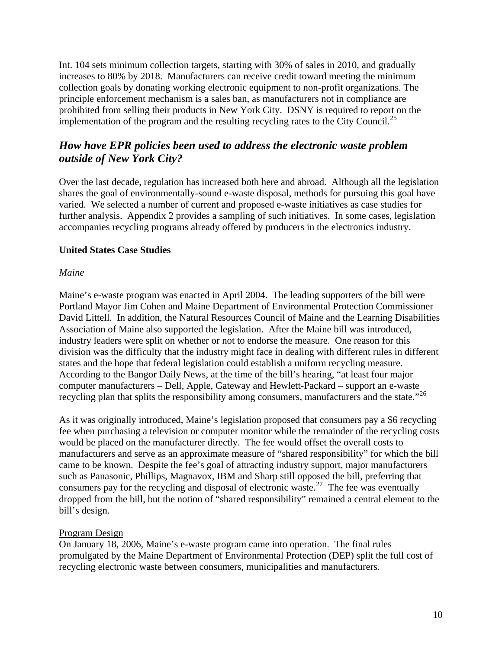<span id="page-9-0"></span>Int. 104 sets minimum collection targets, starting with 30% of sales in 2010, and gradually increases to 80% by 2018. Manufacturers can receive credit toward meeting the minimum collection goals by donating working electronic equipment to non-profit organizations. The principle enforcement mechanism is a sales ban, as manufacturers not in compliance are prohibited from selling their products in New York City. DSNY is required to report on the implementation of the program and the resulting recycling rates to the City Council.<sup>[25](#page-41-1)</sup>

# *How have EPR policies been used to address the electronic waste problem outside of New York City?*

Over the last decade, regulation has increased both here and abroad. Although all the legislation shares the goal of environmentally-sound e-waste disposal, methods for pursuing this goal have varied. We selected a number of current and proposed e-waste initiatives as case studies for further analysis. Appendix 2 provides a sampling of such initiatives. In some cases, legislation accompanies recycling programs already offered by producers in the electronics industry.

## **United States Case Studies**

#### *Maine*

Maine's e-waste program was enacted in April 2004. The leading supporters of the bill were Portland Mayor Jim Cohen and Maine Department of Environmental Protection Commissioner David Littell. In addition, the Natural Resources Council of Maine and the Learning Disabilities Association of Maine also supported the legislation. After the Maine bill was introduced, industry leaders were split on whether or not to endorse the measure. One reason for this division was the difficulty that the industry might face in dealing with different rules in different states and the hope that federal legislation could establish a uniform recycling measure. According to the Bangor Daily News, at the time of the bill's hearing, "at least four major computer manufacturers – Dell, Apple, Gateway and Hewlett-Packard – support an e-waste recycling plan that splits the responsibility among consumers, manufacturers and the state."<sup>[26](#page-41-1)</sup>

As it was originally introduced, Maine's legislation proposed that consumers pay a \$6 recycling fee when purchasing a television or computer monitor while the remainder of the recycling costs would be placed on the manufacturer directly. The fee would offset the overall costs to manufacturers and serve as an approximate measure of "shared responsibility" for which the bill came to be known. Despite the fee's goal of attracting industry support, major manufacturers such as Panasonic, Phillips, Magnavox, IBM and Sharp still opposed the bill, preferring that consumers pay for the recycling and disposal of electronic waste.<sup>[27](#page-41-1)</sup> The fee was eventually dropped from the bill, but the notion of "shared responsibility" remained a central element to the bill's design.

## Program Design

On January 18, 2006, Maine's e-waste program came into operation. The final rules promulgated by the Maine Department of Environmental Protection (DEP) split the full cost of recycling electronic waste between consumers, municipalities and manufacturers.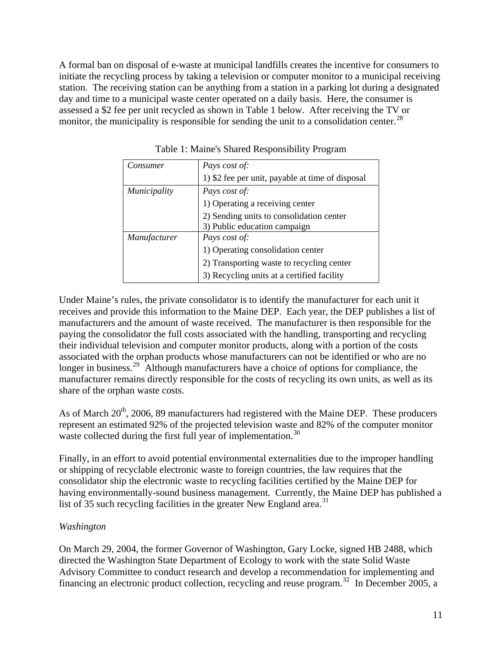<span id="page-10-0"></span>A formal ban on disposal of e-waste at municipal landfills creates the incentive for consumers to initiate the recycling process by taking a television or computer monitor to a municipal receiving station. The receiving station can be anything from a station in a parking lot during a designated day and time to a municipal waste center operated on a daily basis. Here, the consumer is assessed a \$2 fee per unit recycled as shown in Table 1 below. After receiving the TV or monitor, the municipality is responsible for sending the unit to a consolidation center.<sup>[28](#page-41-1)</sup>

| Consumer            | Pays cost of:                                    |
|---------------------|--------------------------------------------------|
|                     | 1) \$2 fee per unit, payable at time of disposal |
| <i>Municipality</i> | Pays cost of:                                    |
|                     | 1) Operating a receiving center                  |
|                     | 2) Sending units to consolidation center         |
|                     | 3) Public education campaign                     |
| Manufacturer        | Pays cost of:                                    |
|                     | 1) Operating consolidation center                |
|                     | 2) Transporting waste to recycling center        |
|                     | 3) Recycling units at a certified facility       |

Table 1: Maine's Shared Responsibility Program

Under Maine's rules, the private consolidator is to identify the manufacturer for each unit it receives and provide this information to the Maine DEP. Each year, the DEP publishes a list of manufacturers and the amount of waste received. The manufacturer is then responsible for the paying the consolidator the full costs associated with the handling, transporting and recycling their individual television and computer monitor products, along with a portion of the costs associated with the orphan products whose manufacturers can not be identified or who are no longer in business.<sup>[29](#page-41-1)</sup> Although manufacturers have a choice of options for compliance, the manufacturer remains directly responsible for the costs of recycling its own units, as well as its share of the orphan waste costs.

As of March 20<sup>th</sup>, 2006, 89 manufacturers had registered with the Maine DEP. These producers represent an estimated 92% of the projected television waste and 82% of the computer monitor waste collected during the first full year of implementation.<sup>[30](#page-41-1)</sup>

Finally, in an effort to avoid potential environmental externalities due to the improper handling or shipping of recyclable electronic waste to foreign countries, the law requires that the consolidator ship the electronic waste to recycling facilities certified by the Maine DEP for having environmentally-sound business management. Currently, the Maine DEP has published a list of 35 such recycling facilities in the greater New England area.<sup>[31](#page-41-1)</sup>

## *Washington*

On March 29, 2004, the former Governor of Washington, Gary Locke, signed HB 2488, which directed the Washington State Department of Ecology to work with the state Solid Waste Advisory Committee to conduct research and develop a recommendation for implementing and financing an electronic product collection, recycling and reuse program.<sup>[32](#page-41-1)</sup> In December 2005, a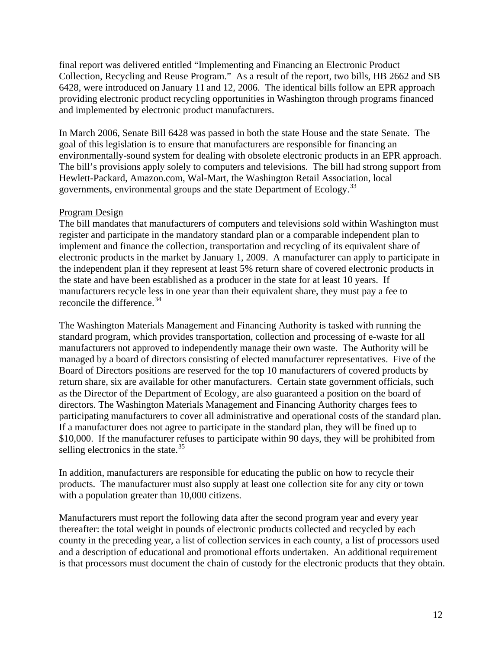final report was delivered entitled "Implementing and Financing an Electronic Product Collection, Recycling and Reuse Program." As a result of the report, two bills, HB 2662 and SB 6428, were introduced on January 11 and 12, 2006. The identical bills follow an EPR approach providing electronic product recycling opportunities in Washington through programs financed and implemented by electronic product manufacturers.

In March 2006, Senate Bill 6428 was passed in both the state House and the state Senate. The goal of this legislation is to ensure that manufacturers are responsible for financing an environmentally-sound system for dealing with obsolete electronic products in an EPR approach. The bill's provisions apply solely to computers and televisions. The bill had strong support from Hewlett-Packard, Amazon.com, Wal-Mart, the Washington Retail Association, local governments, environmental groups and the state Department of Ecology.<sup>[33](#page-41-1)</sup>

#### Program Design

The bill mandates that manufacturers of computers and televisions sold within Washington must register and participate in the mandatory standard plan or a comparable independent plan to implement and finance the collection, transportation and recycling of its equivalent share of electronic products in the market by January 1, 2009. A manufacturer can apply to participate in the independent plan if they represent at least 5% return share of covered electronic products in the state and have been established as a producer in the state for at least 10 years. If manufacturers recycle less in one year than their equivalent share, they must pay a fee to reconcile the difference.<sup>[34](#page-41-1)</sup>

The Washington Materials Management and Financing Authority is tasked with running the standard program, which provides transportation, collection and processing of e-waste for all manufacturers not approved to independently manage their own waste. The Authority will be managed by a board of directors consisting of elected manufacturer representatives. Five of the Board of Directors positions are reserved for the top 10 manufacturers of covered products by return share, six are available for other manufacturers. Certain state government officials, such as the Director of the Department of Ecology, are also guaranteed a position on the board of directors. The Washington Materials Management and Financing Authority charges fees to participating manufacturers to cover all administrative and operational costs of the standard plan. If a manufacturer does not agree to participate in the standard plan, they will be fined up to \$10,000. If the manufacturer refuses to participate within 90 days, they will be prohibited from selling electronics in the state. $35$ 

In addition, manufacturers are responsible for educating the public on how to recycle their products. The manufacturer must also supply at least one collection site for any city or town with a population greater than 10,000 citizens.

Manufacturers must report the following data after the second program year and every year thereafter: the total weight in pounds of electronic products collected and recycled by each county in the preceding year, a list of collection services in each county, a list of processors used and a description of educational and promotional efforts undertaken. An additional requirement is that processors must document the chain of custody for the electronic products that they obtain.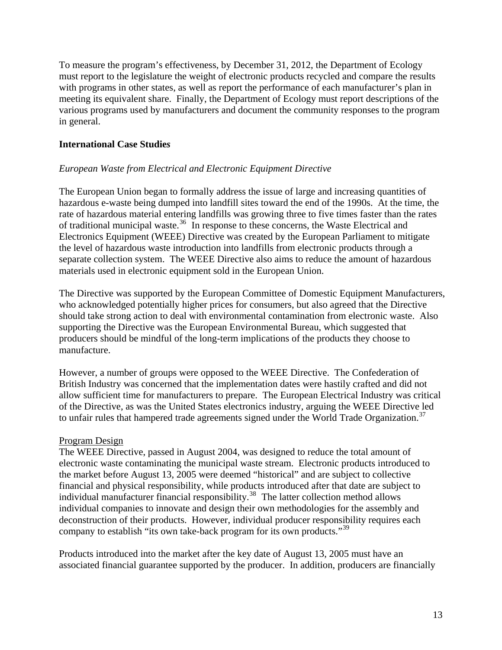<span id="page-12-0"></span>To measure the program's effectiveness, by December 31, 2012, the Department of Ecology must report to the legislature the weight of electronic products recycled and compare the results with programs in other states, as well as report the performance of each manufacturer's plan in meeting its equivalent share. Finally, the Department of Ecology must report descriptions of the various programs used by manufacturers and document the community responses to the program in general.

#### **International Case Studie***s*

#### *European Waste from Electrical and Electronic Equipment Directive*

The European Union began to formally address the issue of large and increasing quantities of hazardous e-waste being dumped into landfill sites toward the end of the 1990s. At the time, the rate of hazardous material entering landfills was growing three to five times faster than the rates of traditional municipal waste.<sup>[36](#page-41-1)</sup> In response to these concerns, the Waste Electrical and Electronics Equipment (WEEE) Directive was created by the European Parliament to mitigate the level of hazardous waste introduction into landfills from electronic products through a separate collection system. The WEEE Directive also aims to reduce the amount of hazardous materials used in electronic equipment sold in the European Union.

The Directive was supported by the European Committee of Domestic Equipment Manufacturers, who acknowledged potentially higher prices for consumers, but also agreed that the Directive should take strong action to deal with environmental contamination from electronic waste. Also supporting the Directive was the European Environmental Bureau, which suggested that producers should be mindful of the long-term implications of the products they choose to manufacture.

However, a number of groups were opposed to the WEEE Directive. The Confederation of British Industry was concerned that the implementation dates were hastily crafted and did not allow sufficient time for manufacturers to prepare. The European Electrical Industry was critical of the Directive, as was the United States electronics industry, arguing the WEEE Directive led to unfair rules that hampered trade agreements signed under the World Trade Organization.<sup>[37](#page-41-1)</sup>

#### Program Design

The WEEE Directive, passed in August 2004, was designed to reduce the total amount of electronic waste contaminating the municipal waste stream. Electronic products introduced to the market before August 13, 2005 were deemed "historical" and are subject to collective financial and physical responsibility, while products introduced after that date are subject to individual manufacturer financial responsibility.<sup>[38](#page-41-1)</sup> The latter collection method allows individual companies to innovate and design their own methodologies for the assembly and deconstruction of their products. However, individual producer responsibility requires each company to establish "its own take-back program for its own products."<sup>[39](#page-41-1)</sup>

Products introduced into the market after the key date of August 13, 2005 must have an associated financial guarantee supported by the producer. In addition, producers are financially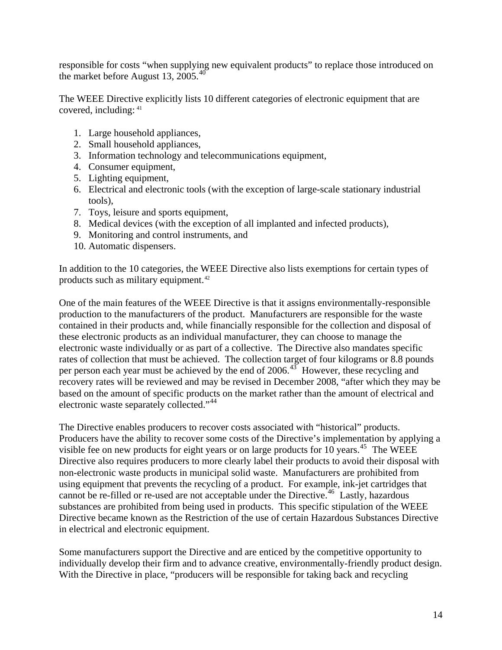responsible for costs "when supplying new equivalent products" to replace those introduced on the market before August 13, 2005.<sup>[40](#page-41-1)</sup>

The WEEE Directive explicitly lists 10 different categories of electronic equipment that are covered, including: [41](#page-41-1)

- 1. Large household appliances,
- 2. Small household appliances,
- 3. Information technology and telecommunications equipment,
- 4. Consumer equipment,
- 5. Lighting equipment,
- 6. Electrical and electronic tools (with the exception of large-scale stationary industrial tools),
- 7. Toys, leisure and sports equipment,
- 8. Medical devices (with the exception of all implanted and infected products),
- 9. Monitoring and control instruments, and
- 10. Automatic dispensers.

In addition to the 10 categories, the WEEE Directive also lists exemptions for certain types of products such as military equipment.<sup>[42](#page-41-1)</sup>

One of the main features of the WEEE Directive is that it assigns environmentally-responsible production to the manufacturers of the product. Manufacturers are responsible for the waste contained in their products and, while financially responsible for the collection and disposal of these electronic products as an individual manufacturer, they can choose to manage the electronic waste individually or as part of a collective. The Directive also mandates specific rates of collection that must be achieved. The collection target of four kilograms or 8.8 pounds per person each year must be achieved by the end of  $2006<sup>43</sup>$  $2006<sup>43</sup>$  $2006<sup>43</sup>$  However, these recycling and recovery rates will be reviewed and may be revised in December 2008, "after which they may be based on the amount of specific products on the market rather than the amount of electrical and electronic waste separately collected."[44](#page-41-1)

The Directive enables producers to recover costs associated with "historical" products. Producers have the ability to recover some costs of the Directive's implementation by applying a visible fee on new products for eight years or on large products for 10 years.<sup>[45](#page-41-1)</sup> The WEEE Directive also requires producers to more clearly label their products to avoid their disposal with non-electronic waste products in municipal solid waste. Manufacturers are prohibited from using equipment that prevents the recycling of a product. For example, ink-jet cartridges that cannot be re-filled or re-used are not acceptable under the Directive.<sup>[46](#page-41-1)</sup> Lastly, hazardous substances are prohibited from being used in products. This specific stipulation of the WEEE Directive became known as the Restriction of the use of certain Hazardous Substances Directive in electrical and electronic equipment.

Some manufacturers support the Directive and are enticed by the competitive opportunity to individually develop their firm and to advance creative, environmentally-friendly product design. With the Directive in place, "producers will be responsible for taking back and recycling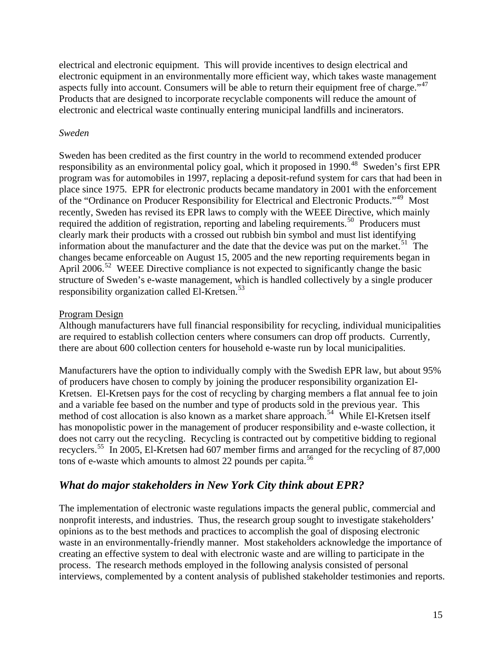<span id="page-14-0"></span>electrical and electronic equipment. This will provide incentives to design electrical and electronic equipment in an environmentally more efficient way, which takes waste management aspects fully into account. Consumers will be able to return their equipment free of charge."<sup>[47](#page-41-1)</sup> Products that are designed to incorporate recyclable components will reduce the amount of electronic and electrical waste continually entering municipal landfills and incinerators.

#### *Sweden*

Sweden has been credited as the first country in the world to recommend extended producer responsibility as an environmental policy goal, which it proposed in 1990.<sup>[48](#page-41-1)</sup> Sweden's first EPR program was for automobiles in 1997, replacing a deposit-refund system for cars that had been in place since 1975. EPR for electronic products became mandatory in 2001 with the enforcement of the "Ordinance on Producer Responsibility for Electrical and Electronic Products."<sup>[49](#page-41-1)</sup> Most recently, Sweden has revised its EPR laws to comply with the WEEE Directive, which mainly required the addition of registration, reporting and labeling requirements.<sup>[50](#page-41-1)</sup> Producers must clearly mark their products with a crossed out rubbish bin symbol and must list identifying information about the manufacturer and the date that the device was put on the market.<sup>[51](#page-41-1)</sup> The changes became enforceable on August 15, 2005 and the new reporting requirements began in April 2006.<sup>[52](#page-41-1)</sup> WEEE Directive compliance is not expected to significantly change the basic structure of Sweden's e-waste management, which is handled collectively by a single producer responsibility organization called El-Kretsen.<sup>[53](#page-41-1)</sup>

## Program Design

Although manufacturers have full financial responsibility for recycling, individual municipalities are required to establish collection centers where consumers can drop off products. Currently, there are about 600 collection centers for household e-waste run by local municipalities.

Manufacturers have the option to individually comply with the Swedish EPR law, but about 95% of producers have chosen to comply by joining the producer responsibility organization El-Kretsen. El-Kretsen pays for the cost of recycling by charging members a flat annual fee to join and a variable fee based on the number and type of products sold in the previous year. This method of cost allocation is also known as a market share approach.<sup>[54](#page-41-1)</sup> While El-Kretsen itself has monopolistic power in the management of producer responsibility and e-waste collection, it does not carry out the recycling. Recycling is contracted out by competitive bidding to regional recyclers.[55](#page-41-1) In 2005, El-Kretsen had 607 member firms and arranged for the recycling of 87,000 tons of e-waste which amounts to almost 22 pounds per capita.<sup>[56](#page-41-1)</sup>

# *What do major stakeholders in New York City think about EPR?*

The implementation of electronic waste regulations impacts the general public, commercial and nonprofit interests, and industries. Thus, the research group sought to investigate stakeholders' opinions as to the best methods and practices to accomplish the goal of disposing electronic waste in an environmentally-friendly manner. Most stakeholders acknowledge the importance of creating an effective system to deal with electronic waste and are willing to participate in the process. The research methods employed in the following analysis consisted of personal interviews, complemented by a content analysis of published stakeholder testimonies and reports.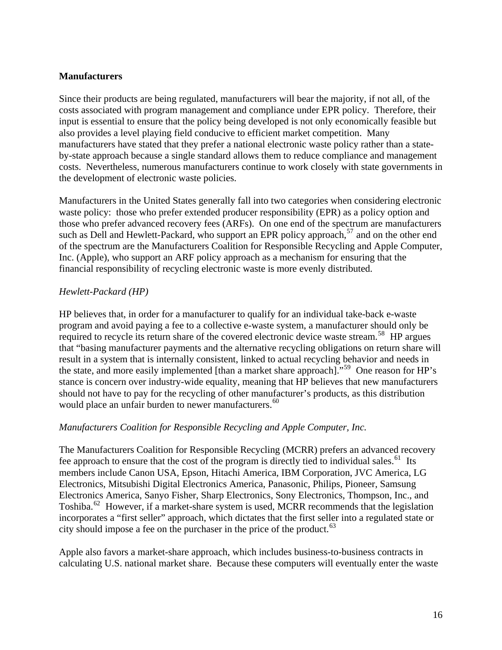#### <span id="page-15-0"></span>**Manufacturers**

Since their products are being regulated, manufacturers will bear the majority, if not all, of the costs associated with program management and compliance under EPR policy. Therefore, their input is essential to ensure that the policy being developed is not only economically feasible but also provides a level playing field conducive to efficient market competition. Many manufacturers have stated that they prefer a national electronic waste policy rather than a stateby-state approach because a single standard allows them to reduce compliance and management costs. Nevertheless, numerous manufacturers continue to work closely with state governments in the development of electronic waste policies.

Manufacturers in the United States generally fall into two categories when considering electronic waste policy: those who prefer extended producer responsibility (EPR) as a policy option and those who prefer advanced recovery fees (ARFs). On one end of the spectrum are manufacturers such as Dell and Hewlett-Packard, who support an EPR policy approach,  $57$  and on the other end of the spectrum are the Manufacturers Coalition for Responsible Recycling and Apple Computer, Inc. (Apple), who support an ARF policy approach as a mechanism for ensuring that the financial responsibility of recycling electronic waste is more evenly distributed.

#### *Hewlett-Packard (HP)*

HP believes that, in order for a manufacturer to qualify for an individual take-back e-waste program and avoid paying a fee to a collective e-waste system, a manufacturer should only be required to recycle its return share of the covered electronic device waste stream.<sup>[58](#page-41-1)</sup> HP argues that "basing manufacturer payments and the alternative recycling obligations on return share will result in a system that is internally consistent, linked to actual recycling behavior and needs in the state, and more easily implemented [than a market share approach]."[59](#page-41-1) One reason for HP's stance is concern over industry-wide equality, meaning that HP believes that new manufacturers should not have to pay for the recycling of other manufacturer's products, as this distribution would place an unfair burden to newer manufacturers.<sup>[60](#page-41-1)</sup>

#### *Manufacturers Coalition for Responsible Recycling and Apple Computer, Inc.*

The Manufacturers Coalition for Responsible Recycling (MCRR) prefers an advanced recovery fee approach to ensure that the cost of the program is directly tied to individual sales.<sup>[61](#page-41-1)</sup> Its members include Canon USA, Epson, Hitachi America, IBM Corporation, JVC America, LG Electronics, Mitsubishi Digital Electronics America, Panasonic, Philips, Pioneer, Samsung Electronics America, Sanyo Fisher, Sharp Electronics, Sony Electronics, Thompson, Inc., and Toshiba.<sup>[62](#page-41-1)</sup> However, if a market-share system is used, MCRR recommends that the legislation incorporates a "first seller" approach, which dictates that the first seller into a regulated state or city should impose a fee on the purchaser in the price of the product.<sup>[63](#page-41-1)</sup>

Apple also favors a market-share approach, which includes business-to-business contracts in calculating U.S. national market share. Because these computers will eventually enter the waste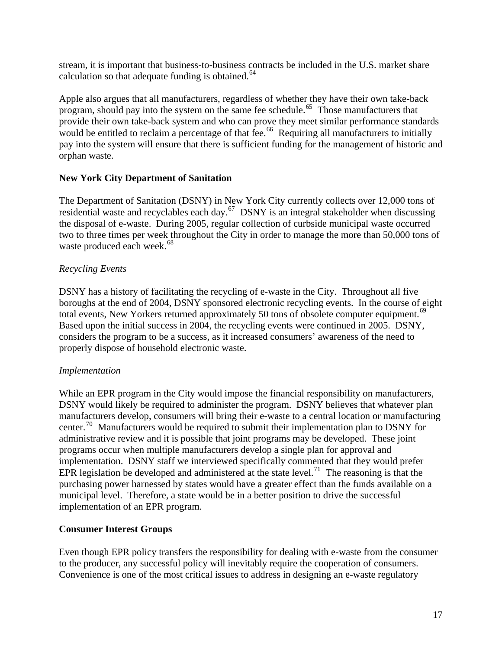<span id="page-16-0"></span>stream, it is important that business-to-business contracts be included in the U.S. market share calculation so that adequate funding is obtained. $64$ 

Apple also argues that all manufacturers, regardless of whether they have their own take-back program, should pay into the system on the same fee schedule.<sup>[65](#page-41-1)</sup> Those manufacturers that provide their own take-back system and who can prove they meet similar performance standards would be entitled to reclaim a percentage of that fee.<sup>[66](#page-41-1)</sup> Requiring all manufacturers to initially pay into the system will ensure that there is sufficient funding for the management of historic and orphan waste.

## **New York City Department of Sanitation**

The Department of Sanitation (DSNY) in New York City currently collects over 12,000 tons of residential waste and recyclables each day.<sup>[67](#page-41-1)</sup> DSNY is an integral stakeholder when discussing the disposal of e-waste. During 2005, regular collection of curbside municipal waste occurred two to three times per week throughout the City in order to manage the more than 50,000 tons of waste produced each week.<sup>[68](#page-41-1)</sup>

# *Recycling Events*

DSNY has a history of facilitating the recycling of e-waste in the City. Throughout all five boroughs at the end of 2004, DSNY sponsored electronic recycling events. In the course of eight total events, New Yorkers returned approximately 50 tons of obsolete computer equipment.<sup>[69](#page-41-1)</sup> Based upon the initial success in 2004, the recycling events were continued in 2005. DSNY, considers the program to be a success, as it increased consumers' awareness of the need to properly dispose of household electronic waste.

## *Implementation*

While an EPR program in the City would impose the financial responsibility on manufacturers, DSNY would likely be required to administer the program. DSNY believes that whatever plan manufacturers develop, consumers will bring their e-waste to a central location or manufacturing center.<sup>[70](#page-41-1)</sup> Manufacturers would be required to submit their implementation plan to DSNY for administrative review and it is possible that joint programs may be developed. These joint programs occur when multiple manufacturers develop a single plan for approval and implementation. DSNY staff we interviewed specifically commented that they would prefer EPR legislation be developed and administered at the state level.<sup>[71](#page-41-1)</sup> The reasoning is that the purchasing power harnessed by states would have a greater effect than the funds available on a municipal level. Therefore, a state would be in a better position to drive the successful implementation of an EPR program.

## **Consumer Interest Groups**

Even though EPR policy transfers the responsibility for dealing with e-waste from the consumer to the producer, any successful policy will inevitably require the cooperation of consumers. Convenience is one of the most critical issues to address in designing an e-waste regulatory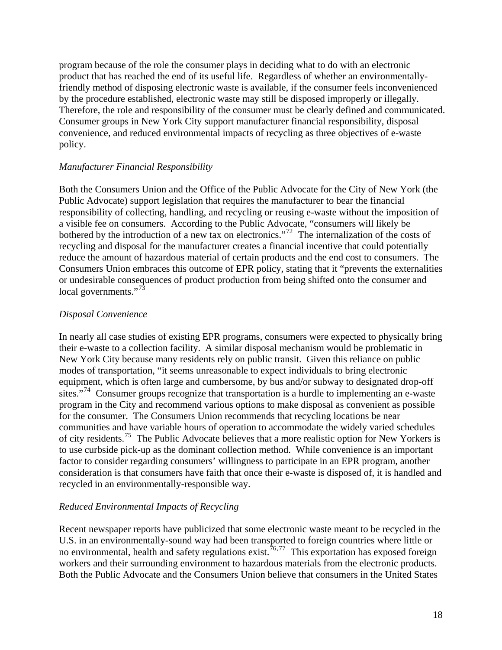<span id="page-17-0"></span>program because of the role the consumer plays in deciding what to do with an electronic product that has reached the end of its useful life. Regardless of whether an environmentallyfriendly method of disposing electronic waste is available, if the consumer feels inconvenienced by the procedure established, electronic waste may still be disposed improperly or illegally. Therefore, the role and responsibility of the consumer must be clearly defined and communicated. Consumer groups in New York City support manufacturer financial responsibility, disposal convenience, and reduced environmental impacts of recycling as three objectives of e-waste policy.

#### *Manufacturer Financial Responsibility*

Both the Consumers Union and the Office of the Public Advocate for the City of New York (the Public Advocate) support legislation that requires the manufacturer to bear the financial responsibility of collecting, handling, and recycling or reusing e-waste without the imposition of a visible fee on consumers. According to the Public Advocate, "consumers will likely be bothered by the introduction of a new tax on electronics."<sup>[72](#page-41-1)</sup> The internalization of the costs of recycling and disposal for the manufacturer creates a financial incentive that could potentially reduce the amount of hazardous material of certain products and the end cost to consumers. The Consumers Union embraces this outcome of EPR policy, stating that it "prevents the externalities or undesirable consequences of product production from being shifted onto the consumer and local governments."<sup>[73](#page-41-1)</sup>

#### *Disposal Convenience*

In nearly all case studies of existing EPR programs, consumers were expected to physically bring their e-waste to a collection facility. A similar disposal mechanism would be problematic in New York City because many residents rely on public transit. Given this reliance on public modes of transportation, "it seems unreasonable to expect individuals to bring electronic equipment, which is often large and cumbersome, by bus and/or subway to designated drop-off sites."<sup>[74](#page-41-1)</sup> Consumer groups recognize that transportation is a hurdle to implementing an e-waste program in the City and recommend various options to make disposal as convenient as possible for the consumer. The Consumers Union recommends that recycling locations be near communities and have variable hours of operation to accommodate the widely varied schedules of city residents.[75](#page-41-1) The Public Advocate believes that a more realistic option for New Yorkers is to use curbside pick-up as the dominant collection method. While convenience is an important factor to consider regarding consumers' willingness to participate in an EPR program, another consideration is that consumers have faith that once their e-waste is disposed of, it is handled and recycled in an environmentally-responsible way.

#### *Reduced Environmental Impacts of Recycling*

Recent newspaper reports have publicized that some electronic waste meant to be recycled in the U.S. in an environmentally-sound way had been transported to foreign countries where little or no environmental, health and safety regulations exist.<sup> $76,77$  $76,77$  $76,77$ </sup> This exportation has exposed foreign workers and their surrounding environment to hazardous materials from the electronic products. Both the Public Advocate and the Consumers Union believe that consumers in the United States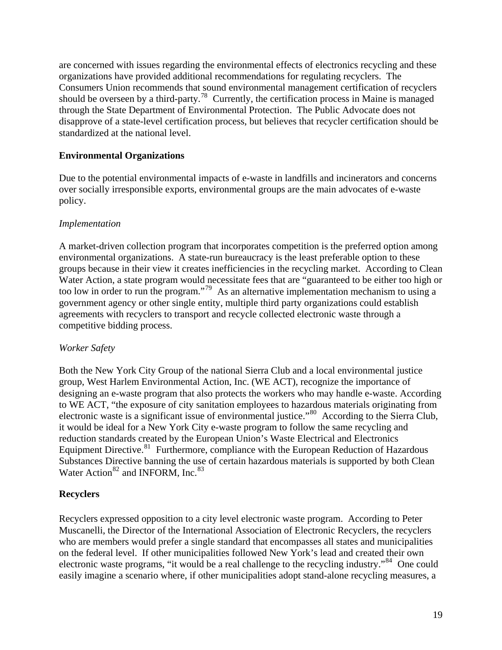<span id="page-18-0"></span>are concerned with issues regarding the environmental effects of electronics recycling and these organizations have provided additional recommendations for regulating recyclers. The Consumers Union recommends that sound environmental management certification of recyclers should be overseen by a third-party.<sup>[78](#page-41-1)</sup> Currently, the certification process in Maine is managed through the State Department of Environmental Protection. The Public Advocate does not disapprove of a state-level certification process, but believes that recycler certification should be standardized at the national level.

# **Environmental Organizations**

Due to the potential environmental impacts of e-waste in landfills and incinerators and concerns over socially irresponsible exports, environmental groups are the main advocates of e-waste policy.

## *Implementation*

A market-driven collection program that incorporates competition is the preferred option among environmental organizations. A state-run bureaucracy is the least preferable option to these groups because in their view it creates inefficiencies in the recycling market. According to Clean Water Action, a state program would necessitate fees that are "guaranteed to be either too high or too low in order to run the program."[79](#page-41-1) As an alternative implementation mechanism to using a government agency or other single entity, multiple third party organizations could establish agreements with recyclers to transport and recycle collected electronic waste through a competitive bidding process.

## *Worker Safety*

Both the New York City Group of the national Sierra Club and a local environmental justice group, West Harlem Environmental Action, Inc. (WE ACT), recognize the importance of designing an e-waste program that also protects the workers who may handle e-waste. According to WE ACT, "the exposure of city sanitation employees to hazardous materials originating from electronic waste is a significant issue of environmental justice."<sup>[80](#page-41-1)</sup> According to the Sierra Club, it would be ideal for a New York City e-waste program to follow the same recycling and reduction standards created by the European Union's Waste Electrical and Electronics Equipment Directive.<sup>[81](#page-41-1)</sup> Furthermore, compliance with the European Reduction of Hazardous Substances Directive banning the use of certain hazardous materials is supported by both Clean Water Action<sup>[82](#page-41-1)</sup> and INFORM, Inc.<sup>[83](#page-41-1)</sup>

# **Recyclers**

Recyclers expressed opposition to a city level electronic waste program. According to Peter Muscanelli, the Director of the International Association of Electronic Recyclers, the recyclers who are members would prefer a single standard that encompasses all states and municipalities on the federal level. If other municipalities followed New York's lead and created their own electronic waste programs, "it would be a real challenge to the recycling industry."[84](#page-41-1) One could easily imagine a scenario where, if other municipalities adopt stand-alone recycling measures, a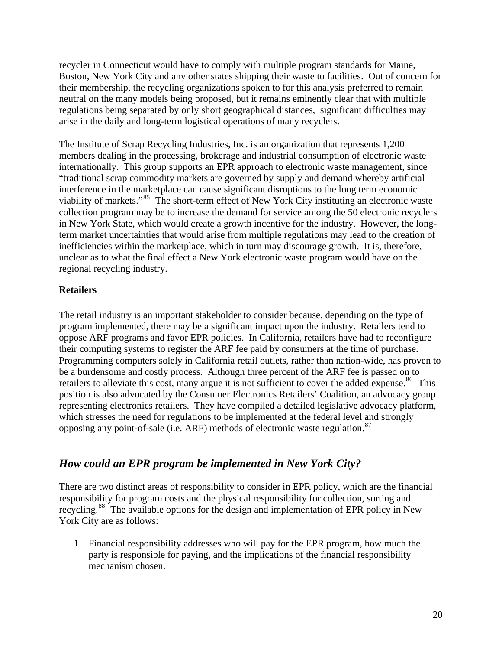<span id="page-19-0"></span>recycler in Connecticut would have to comply with multiple program standards for Maine, Boston, New York City and any other states shipping their waste to facilities. Out of concern for their membership, the recycling organizations spoken to for this analysis preferred to remain neutral on the many models being proposed, but it remains eminently clear that with multiple regulations being separated by only short geographical distances, significant difficulties may arise in the daily and long-term logistical operations of many recyclers.

The Institute of Scrap Recycling Industries, Inc. is an organization that represents 1,200 members dealing in the processing, brokerage and industrial consumption of electronic waste internationally. This group supports an EPR approach to electronic waste management, since "traditional scrap commodity markets are governed by supply and demand whereby artificial interference in the marketplace can cause significant disruptions to the long term economic viability of markets."[85](#page-41-1) The short-term effect of New York City instituting an electronic waste collection program may be to increase the demand for service among the 50 electronic recyclers in New York State, which would create a growth incentive for the industry. However, the longterm market uncertainties that would arise from multiple regulations may lead to the creation of inefficiencies within the marketplace, which in turn may discourage growth. It is, therefore, unclear as to what the final effect a New York electronic waste program would have on the regional recycling industry.

## **Retailers**

The retail industry is an important stakeholder to consider because, depending on the type of program implemented, there may be a significant impact upon the industry. Retailers tend to oppose ARF programs and favor EPR policies. In California, retailers have had to reconfigure their computing systems to register the ARF fee paid by consumers at the time of purchase. Programming computers solely in California retail outlets, rather than nation-wide, has proven to be a burdensome and costly process. Although three percent of the ARF fee is passed on to retailers to alleviate this cost, many argue it is not sufficient to cover the added expense.<sup>[86](#page-41-1)</sup> This position is also advocated by the Consumer Electronics Retailers' Coalition, an advocacy group representing electronics retailers. They have compiled a detailed legislative advocacy platform, which stresses the need for regulations to be implemented at the federal level and strongly opposing any point-of-sale (i.e. ARF) methods of electronic waste regulation.<sup>[87](#page-41-1)</sup>

# *How could an EPR program be implemented in New York City?*

There are two distinct areas of responsibility to consider in EPR policy, which are the financial responsibility for program costs and the physical responsibility for collection, sorting and recycling.[88](#page-41-1) The available options for the design and implementation of EPR policy in New York City are as follows:

1. Financial responsibility addresses who will pay for the EPR program, how much the party is responsible for paying, and the implications of the financial responsibility mechanism chosen.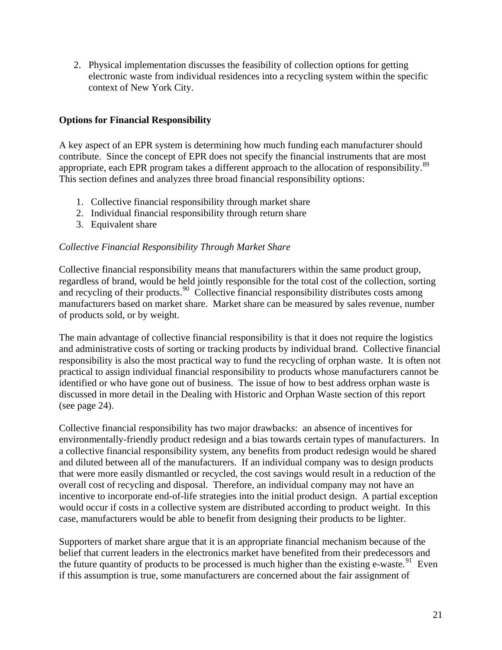<span id="page-20-0"></span>2. Physical implementation discusses the feasibility of collection options for getting electronic waste from individual residences into a recycling system within the specific context of New York City.

## **Options for Financial Responsibility**

A key aspect of an EPR system is determining how much funding each manufacturer should contribute. Since the concept of EPR does not specify the financial instruments that are most appropriate, each EPR program takes a different approach to the allocation of responsibility.<sup>[89](#page-41-1)</sup> This section defines and analyzes three broad financial responsibility options:

- 1. Collective financial responsibility through market share
- 2. Individual financial responsibility through return share
- 3. Equivalent share

## *Collective Financial Responsibility Through Market Share*

Collective financial responsibility means that manufacturers within the same product group, regardless of brand, would be held jointly responsible for the total cost of the collection, sorting and recycling of their products.<sup>[90](#page-41-1)</sup> Collective financial responsibility distributes costs among manufacturers based on market share. Market share can be measured by sales revenue, number of products sold, or by weight.

The main advantage of collective financial responsibility is that it does not require the logistics and administrative costs of sorting or tracking products by individual brand. Collective financial responsibility is also the most practical way to fund the recycling of orphan waste. It is often not practical to assign individual financial responsibility to products whose manufacturers cannot be identified or who have gone out of business. The issue of how to best address orphan waste is discussed in more detail in the Dealing with Historic and Orphan Waste section of this report (see page 24).

Collective financial responsibility has two major drawbacks: an absence of incentives for environmentally-friendly product redesign and a bias towards certain types of manufacturers. In a collective financial responsibility system, any benefits from product redesign would be shared and diluted between all of the manufacturers. If an individual company was to design products that were more easily dismantled or recycled, the cost savings would result in a reduction of the overall cost of recycling and disposal. Therefore, an individual company may not have an incentive to incorporate end-of-life strategies into the initial product design. A partial exception would occur if costs in a collective system are distributed according to product weight. In this case, manufacturers would be able to benefit from designing their products to be lighter.

Supporters of market share argue that it is an appropriate financial mechanism because of the belief that current leaders in the electronics market have benefited from their predecessors and the future quantity of products to be processed is much higher than the existing e-waste.<sup>[91](#page-41-1)</sup> Even if this assumption is true, some manufacturers are concerned about the fair assignment of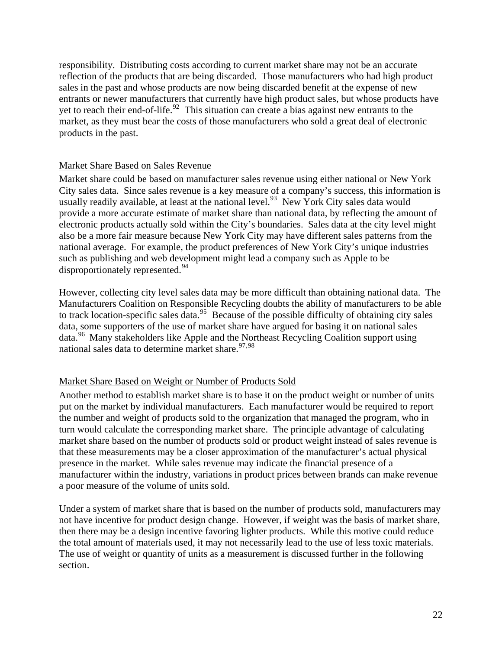responsibility. Distributing costs according to current market share may not be an accurate reflection of the products that are being discarded. Those manufacturers who had high product sales in the past and whose products are now being discarded benefit at the expense of new entrants or newer manufacturers that currently have high product sales, but whose products have yet to reach their end-of-life.<sup>[92](#page-41-1)</sup> This situation can create a bias against new entrants to the market, as they must bear the costs of those manufacturers who sold a great deal of electronic products in the past.

#### Market Share Based on Sales Revenue

Market share could be based on manufacturer sales revenue using either national or New York City sales data. Since sales revenue is a key measure of a company's success, this information is usually readily available, at least at the national level.<sup>[93](#page-41-1)</sup> New York City sales data would provide a more accurate estimate of market share than national data, by reflecting the amount of electronic products actually sold within the City's boundaries. Sales data at the city level might also be a more fair measure because New York City may have different sales patterns from the national average. For example, the product preferences of New York City's unique industries such as publishing and web development might lead a company such as Apple to be disproportionately represented.<sup>[94](#page-41-1)</sup>

However, collecting city level sales data may be more difficult than obtaining national data. The Manufacturers Coalition on Responsible Recycling doubts the ability of manufacturers to be able to track location-specific sales data.<sup>[95](#page-41-1)</sup> Because of the possible difficulty of obtaining city sales data, some supporters of the use of market share have argued for basing it on national sales data.<sup>[96](#page-41-1)</sup> Many stakeholders like Apple and the Northeast Recycling Coalition support using national sales data to determine market share.  $97,98$  $97,98$  $97,98$ 

## Market Share Based on Weight or Number of Products Sold

Another method to establish market share is to base it on the product weight or number of units put on the market by individual manufacturers. Each manufacturer would be required to report the number and weight of products sold to the organization that managed the program, who in turn would calculate the corresponding market share. The principle advantage of calculating market share based on the number of products sold or product weight instead of sales revenue is that these measurements may be a closer approximation of the manufacturer's actual physical presence in the market. While sales revenue may indicate the financial presence of a manufacturer within the industry, variations in product prices between brands can make revenue a poor measure of the volume of units sold.

Under a system of market share that is based on the number of products sold, manufacturers may not have incentive for product design change. However, if weight was the basis of market share, then there may be a design incentive favoring lighter products. While this motive could reduce the total amount of materials used, it may not necessarily lead to the use of less toxic materials. The use of weight or quantity of units as a measurement is discussed further in the following section.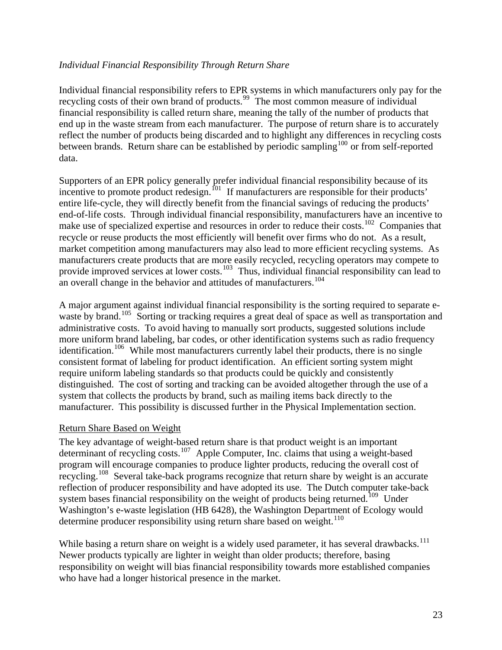## <span id="page-22-0"></span>*Individual Financial Responsibility Through Return Share*

Individual financial responsibility refers to EPR systems in which manufacturers only pay for the recycling costs of their own brand of products.<sup>[99](#page-41-1)</sup> The most common measure of individual financial responsibility is called return share, meaning the tally of the number of products that end up in the waste stream from each manufacturer. The purpose of return share is to accurately reflect the number of products being discarded and to highlight any differences in recycling costs between brands. Return share can be established by periodic sampling<sup>[100](#page-41-1)</sup> or from self-reported data.

Supporters of an EPR policy generally prefer individual financial responsibility because of its incentive to promote product redesign.<sup>[101](#page-41-1)</sup> If manufacturers are responsible for their products' entire life-cycle, they will directly benefit from the financial savings of reducing the products' end-of-life costs. Through individual financial responsibility, manufacturers have an incentive to make use of specialized expertise and resources in order to reduce their costs.<sup>[102](#page-41-1)</sup> Companies that recycle or reuse products the most efficiently will benefit over firms who do not. As a result, market competition among manufacturers may also lead to more efficient recycling systems. As manufacturers create products that are more easily recycled, recycling operators may compete to provide improved services at lower costs.<sup>[103](#page-41-1)</sup> Thus, individual financial responsibility can lead to an overall change in the behavior and attitudes of manufacturers.<sup>[104](#page-41-1)</sup>

A major argument against individual financial responsibility is the sorting required to separate e-waste by brand.<sup>[105](#page-41-1)</sup> Sorting or tracking requires a great deal of space as well as transportation and administrative costs. To avoid having to manually sort products, suggested solutions include more uniform brand labeling, bar codes, or other identification systems such as radio frequency identification.<sup>[106](#page-41-1)</sup> While most manufacturers currently label their products, there is no single consistent format of labeling for product identification. An efficient sorting system might require uniform labeling standards so that products could be quickly and consistently distinguished. The cost of sorting and tracking can be avoided altogether through the use of a system that collects the products by brand, such as mailing items back directly to the manufacturer. This possibility is discussed further in the Physical Implementation section.

## Return Share Based on Weight

The key advantage of weight-based return share is that product weight is an important determinant of recycling costs.<sup>[107](#page-41-1)</sup> Apple Computer, Inc. claims that using a weight-based program will encourage companies to produce lighter products, reducing the overall cost of recycling.<sup>[108](#page-41-1)</sup> Several take-back programs recognize that return share by weight is an accurate reflection of producer responsibility and have adopted its use. The Dutch computer take-back system bases financial responsibility on the weight of products being returned.<sup>[109](#page-41-1)</sup> Under Washington's e-waste legislation (HB 6428), the Washington Department of Ecology would determine producer responsibility using return share based on weight.<sup>[110](#page-41-1)</sup>

While basing a return share on weight is a widely used parameter, it has several drawbacks.<sup>[111](#page-41-1)</sup> Newer products typically are lighter in weight than older products; therefore, basing responsibility on weight will bias financial responsibility towards more established companies who have had a longer historical presence in the market.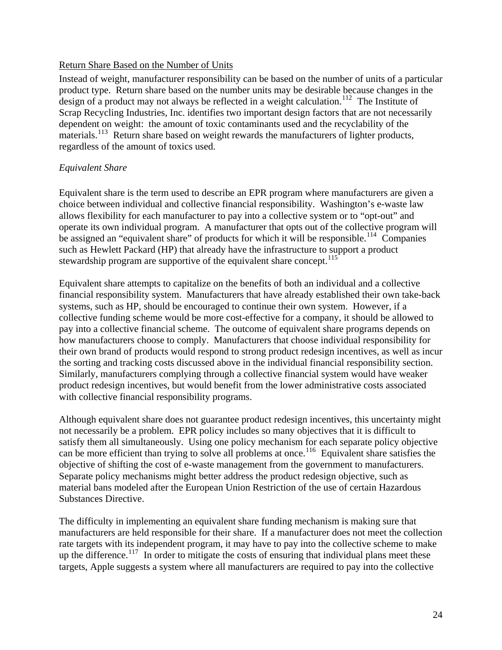#### <span id="page-23-0"></span>Return Share Based on the Number of Units

Instead of weight, manufacturer responsibility can be based on the number of units of a particular product type. Return share based on the number units may be desirable because changes in the design of a product may not always be reflected in a weight calculation.<sup>[112](#page-41-1)</sup> The Institute of Scrap Recycling Industries, Inc. identifies two important design factors that are not necessarily dependent on weight: the amount of toxic contaminants used and the recyclability of the materials.<sup>[113](#page-41-1)</sup> Return share based on weight rewards the manufacturers of lighter products, regardless of the amount of toxics used.

## *Equivalent Share*

Equivalent share is the term used to describe an EPR program where manufacturers are given a choice between individual and collective financial responsibility. Washington's e-waste law allows flexibility for each manufacturer to pay into a collective system or to "opt-out" and operate its own individual program. A manufacturer that opts out of the collective program will be assigned an "equivalent share" of products for which it will be responsible.<sup>[114](#page-41-1)</sup> Companies such as Hewlett Packard (HP) that already have the infrastructure to support a product stewardship program are supportive of the equivalent share concept.<sup>[115](#page-41-1)</sup>

Equivalent share attempts to capitalize on the benefits of both an individual and a collective financial responsibility system. Manufacturers that have already established their own take-back systems, such as HP, should be encouraged to continue their own system. However, if a collective funding scheme would be more cost-effective for a company, it should be allowed to pay into a collective financial scheme. The outcome of equivalent share programs depends on how manufacturers choose to comply. Manufacturers that choose individual responsibility for their own brand of products would respond to strong product redesign incentives, as well as incur the sorting and tracking costs discussed above in the individual financial responsibility section. Similarly, manufacturers complying through a collective financial system would have weaker product redesign incentives, but would benefit from the lower administrative costs associated with collective financial responsibility programs.

Although equivalent share does not guarantee product redesign incentives, this uncertainty might not necessarily be a problem. EPR policy includes so many objectives that it is difficult to satisfy them all simultaneously. Using one policy mechanism for each separate policy objective can be more efficient than trying to solve all problems at once.<sup>[116](#page-41-1)</sup> Equivalent share satisfies the objective of shifting the cost of e-waste management from the government to manufacturers. Separate policy mechanisms might better address the product redesign objective, such as material bans modeled after the European Union Restriction of the use of certain Hazardous Substances Directive.

The difficulty in implementing an equivalent share funding mechanism is making sure that manufacturers are held responsible for their share. If a manufacturer does not meet the collection rate targets with its independent program, it may have to pay into the collective scheme to make up the difference.<sup>[117](#page-41-1)</sup> In order to mitigate the costs of ensuring that individual plans meet these targets, Apple suggests a system where all manufacturers are required to pay into the collective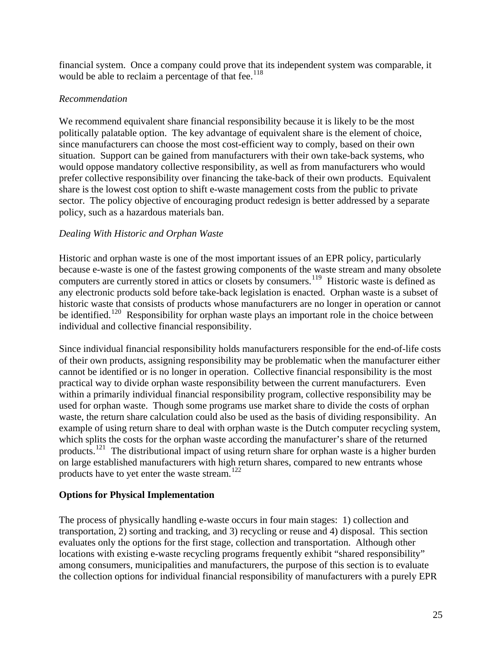<span id="page-24-0"></span>financial system. Once a company could prove that its independent system was comparable, it would be able to reclaim a percentage of that fee.<sup>[118](#page-41-1)</sup>

#### *Recommendation*

We recommend equivalent share financial responsibility because it is likely to be the most politically palatable option. The key advantage of equivalent share is the element of choice, since manufacturers can choose the most cost-efficient way to comply, based on their own situation. Support can be gained from manufacturers with their own take-back systems, who would oppose mandatory collective responsibility, as well as from manufacturers who would prefer collective responsibility over financing the take-back of their own products. Equivalent share is the lowest cost option to shift e-waste management costs from the public to private sector. The policy objective of encouraging product redesign is better addressed by a separate policy, such as a hazardous materials ban.

#### *Dealing With Historic and Orphan Waste*

Historic and orphan waste is one of the most important issues of an EPR policy, particularly because e-waste is one of the fastest growing components of the waste stream and many obsolete computers are currently stored in attics or closets by consumers.<sup>[119](#page-41-1)</sup> Historic waste is defined as any electronic products sold before take-back legislation is enacted. Orphan waste is a subset of historic waste that consists of products whose manufacturers are no longer in operation or cannot be identified.<sup>[120](#page-41-1)</sup> Responsibility for orphan waste plays an important role in the choice between individual and collective financial responsibility.

Since individual financial responsibility holds manufacturers responsible for the end-of-life costs of their own products, assigning responsibility may be problematic when the manufacturer either cannot be identified or is no longer in operation. Collective financial responsibility is the most practical way to divide orphan waste responsibility between the current manufacturers. Even within a primarily individual financial responsibility program, collective responsibility may be used for orphan waste. Though some programs use market share to divide the costs of orphan waste, the return share calculation could also be used as the basis of dividing responsibility. An example of using return share to deal with orphan waste is the Dutch computer recycling system, which splits the costs for the orphan waste according the manufacturer's share of the returned products.<sup>[121](#page-41-1)</sup> The distributional impact of using return share for orphan waste is a higher burden on large established manufacturers with high return shares, compared to new entrants whose products have to yet enter the waste stream.[122](#page-41-1)

## **Options for Physical Implementation**

The process of physically handling e-waste occurs in four main stages: 1) collection and transportation, 2) sorting and tracking, and 3) recycling or reuse and 4) disposal. This section evaluates only the options for the first stage, collection and transportation. Although other locations with existing e-waste recycling programs frequently exhibit "shared responsibility" among consumers, municipalities and manufacturers, the purpose of this section is to evaluate the collection options for individual financial responsibility of manufacturers with a purely EPR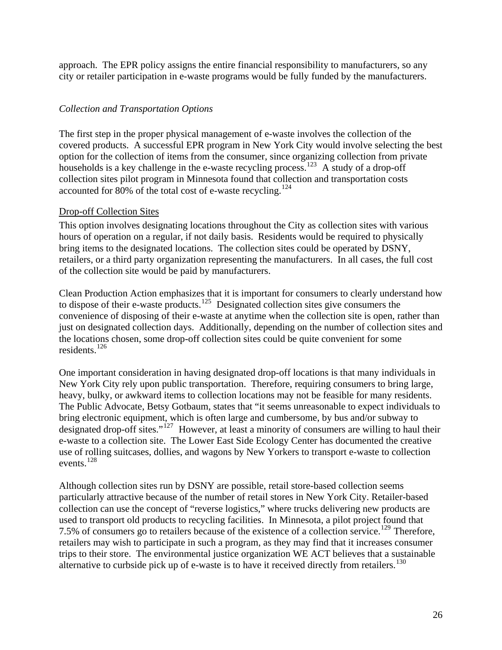<span id="page-25-0"></span>approach. The EPR policy assigns the entire financial responsibility to manufacturers, so any city or retailer participation in e-waste programs would be fully funded by the manufacturers.

#### *Collection and Transportation Options*

The first step in the proper physical management of e-waste involves the collection of the covered products. A successful EPR program in New York City would involve selecting the best option for the collection of items from the consumer, since organizing collection from private households is a key challenge in the e-waste recycling process.<sup>[123](#page-41-1)</sup> A study of a drop-off collection sites pilot program in Minnesota found that collection and transportation costs accounted for 80% of the total cost of e-waste recycling.<sup>[124](#page-41-1)</sup>

#### Drop-off Collection Sites

This option involves designating locations throughout the City as collection sites with various hours of operation on a regular, if not daily basis. Residents would be required to physically bring items to the designated locations. The collection sites could be operated by DSNY, retailers, or a third party organization representing the manufacturers. In all cases, the full cost of the collection site would be paid by manufacturers.

Clean Production Action emphasizes that it is important for consumers to clearly understand how to dispose of their e-waste products.<sup>[125](#page-41-1)</sup> Designated collection sites give consumers the convenience of disposing of their e-waste at anytime when the collection site is open, rather than just on designated collection days. Additionally, depending on the number of collection sites and the locations chosen, some drop-off collection sites could be quite convenient for some residents<sup>[126](#page-41-1)</sup>

One important consideration in having designated drop-off locations is that many individuals in New York City rely upon public transportation. Therefore, requiring consumers to bring large, heavy, bulky, or awkward items to collection locations may not be feasible for many residents. The Public Advocate, Betsy Gotbaum, states that "it seems unreasonable to expect individuals to bring electronic equipment, which is often large and cumbersome, by bus and/or subway to designated drop-off sites."[127](#page-41-1) However, at least a minority of consumers are willing to haul their e-waste to a collection site. The Lower East Side Ecology Center has documented the creative use of rolling suitcases, dollies, and wagons by New Yorkers to transport e-waste to collection events.[128](#page-41-1)

Although collection sites run by DSNY are possible, retail store-based collection seems particularly attractive because of the number of retail stores in New York City. Retailer-based collection can use the concept of "reverse logistics," where trucks delivering new products are used to transport old products to recycling facilities. In Minnesota, a pilot project found that 7.5% of consumers go to retailers because of the existence of a collection service.<sup>[129](#page-41-1)</sup> Therefore, retailers may wish to participate in such a program, as they may find that it increases consumer trips to their store. The environmental justice organization WE ACT believes that a sustainable alternative to curbside pick up of e-waste is to have it received directly from retailers.<sup>[130](#page-41-1)</sup>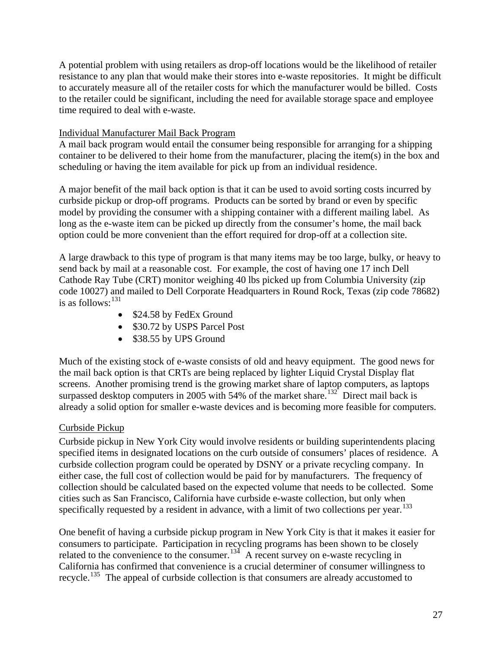A potential problem with using retailers as drop-off locations would be the likelihood of retailer resistance to any plan that would make their stores into e-waste repositories. It might be difficult to accurately measure all of the retailer costs for which the manufacturer would be billed. Costs to the retailer could be significant, including the need for available storage space and employee time required to deal with e-waste.

#### Individual Manufacturer Mail Back Program

A mail back program would entail the consumer being responsible for arranging for a shipping container to be delivered to their home from the manufacturer, placing the item(s) in the box and scheduling or having the item available for pick up from an individual residence.

A major benefit of the mail back option is that it can be used to avoid sorting costs incurred by curbside pickup or drop-off programs. Products can be sorted by brand or even by specific model by providing the consumer with a shipping container with a different mailing label. As long as the e-waste item can be picked up directly from the consumer's home, the mail back option could be more convenient than the effort required for drop-off at a collection site.

A large drawback to this type of program is that many items may be too large, bulky, or heavy to send back by mail at a reasonable cost. For example, the cost of having one 17 inch Dell Cathode Ray Tube (CRT) monitor weighing 40 lbs picked up from Columbia University (zip code 10027) and mailed to Dell Corporate Headquarters in Round Rock, Texas (zip code 78682) is as follows:  $131$ 

- \$24.58 by FedEx Ground
- \$30.72 by USPS Parcel Post
- \$38.55 by UPS Ground

Much of the existing stock of e-waste consists of old and heavy equipment. The good news for the mail back option is that CRTs are being replaced by lighter Liquid Crystal Display flat screens. Another promising trend is the growing market share of laptop computers, as laptops surpassed desktop computers in 2005 with 54% of the market share.<sup>[132](#page-41-1)</sup> Direct mail back is already a solid option for smaller e-waste devices and is becoming more feasible for computers.

## Curbside Pickup

Curbside pickup in New York City would involve residents or building superintendents placing specified items in designated locations on the curb outside of consumers' places of residence. A curbside collection program could be operated by DSNY or a private recycling company. In either case, the full cost of collection would be paid for by manufacturers. The frequency of collection should be calculated based on the expected volume that needs to be collected. Some cities such as San Francisco, California have curbside e-waste collection, but only when specifically requested by a resident in advance, with a limit of two collections per year.<sup>[133](#page-41-1)</sup>

One benefit of having a curbside pickup program in New York City is that it makes it easier for consumers to participate. Participation in recycling programs has been shown to be closely related to the convenience to the consumer.<sup>[134](#page-41-1)</sup> A recent survey on e-waste recycling in California has confirmed that convenience is a crucial determiner of consumer willingness to recycle.[135](#page-41-1) The appeal of curbside collection is that consumers are already accustomed to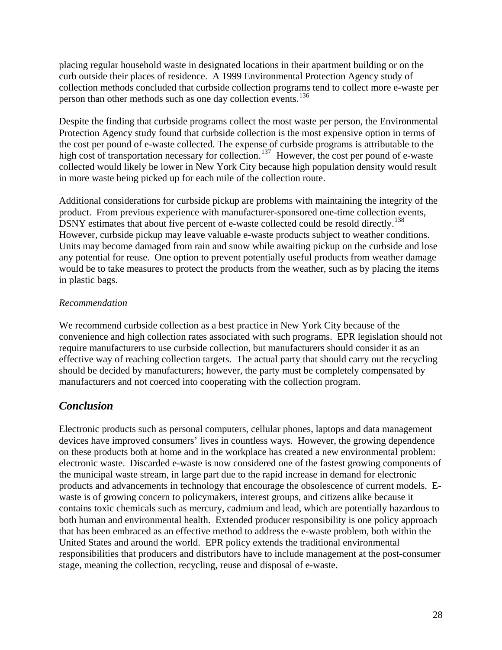<span id="page-27-0"></span>placing regular household waste in designated locations in their apartment building or on the curb outside their places of residence. A 1999 Environmental Protection Agency study of collection methods concluded that curbside collection programs tend to collect more e-waste per person than other methods such as one day collection events.<sup>[136](#page-41-1)</sup>

Despite the finding that curbside programs collect the most waste per person, the Environmental Protection Agency study found that curbside collection is the most expensive option in terms of the cost per pound of e-waste collected. The expense of curbside programs is attributable to the high cost of transportation necessary for collection.<sup>[137](#page-41-1)</sup> However, the cost per pound of e-waste collected would likely be lower in New York City because high population density would result in more waste being picked up for each mile of the collection route.

Additional considerations for curbside pickup are problems with maintaining the integrity of the product. From previous experience with manufacturer-sponsored one-time collection events, DSNY estimates that about five percent of e-waste collected could be resold directly.<sup>[138](#page-41-1)</sup> However, curbside pickup may leave valuable e-waste products subject to weather conditions. Units may become damaged from rain and snow while awaiting pickup on the curbside and lose any potential for reuse. One option to prevent potentially useful products from weather damage would be to take measures to protect the products from the weather, such as by placing the items in plastic bags.

# *Recommendation*

We recommend curbside collection as a best practice in New York City because of the convenience and high collection rates associated with such programs. EPR legislation should not require manufacturers to use curbside collection, but manufacturers should consider it as an effective way of reaching collection targets. The actual party that should carry out the recycling should be decided by manufacturers; however, the party must be completely compensated by manufacturers and not coerced into cooperating with the collection program.

# *Conclusion*

Electronic products such as personal computers, cellular phones, laptops and data management devices have improved consumers' lives in countless ways. However, the growing dependence on these products both at home and in the workplace has created a new environmental problem: electronic waste. Discarded e-waste is now considered one of the fastest growing components of the municipal waste stream, in large part due to the rapid increase in demand for electronic products and advancements in technology that encourage the obsolescence of current models. Ewaste is of growing concern to policymakers, interest groups, and citizens alike because it contains toxic chemicals such as mercury, cadmium and lead, which are potentially hazardous to both human and environmental health. Extended producer responsibility is one policy approach that has been embraced as an effective method to address the e-waste problem, both within the United States and around the world. EPR policy extends the traditional environmental responsibilities that producers and distributors have to include management at the post-consumer stage, meaning the collection, recycling, reuse and disposal of e-waste.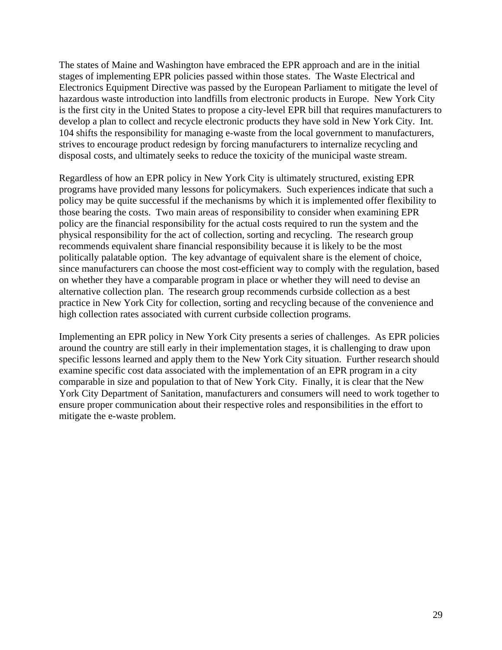The states of Maine and Washington have embraced the EPR approach and are in the initial stages of implementing EPR policies passed within those states. The Waste Electrical and Electronics Equipment Directive was passed by the European Parliament to mitigate the level of hazardous waste introduction into landfills from electronic products in Europe. New York City is the first city in the United States to propose a city-level EPR bill that requires manufacturers to develop a plan to collect and recycle electronic products they have sold in New York City. Int. 104 shifts the responsibility for managing e-waste from the local government to manufacturers, strives to encourage product redesign by forcing manufacturers to internalize recycling and disposal costs, and ultimately seeks to reduce the toxicity of the municipal waste stream.

Regardless of how an EPR policy in New York City is ultimately structured, existing EPR programs have provided many lessons for policymakers. Such experiences indicate that such a policy may be quite successful if the mechanisms by which it is implemented offer flexibility to those bearing the costs. Two main areas of responsibility to consider when examining EPR policy are the financial responsibility for the actual costs required to run the system and the physical responsibility for the act of collection, sorting and recycling. The research group recommends equivalent share financial responsibility because it is likely to be the most politically palatable option. The key advantage of equivalent share is the element of choice, since manufacturers can choose the most cost-efficient way to comply with the regulation, based on whether they have a comparable program in place or whether they will need to devise an alternative collection plan. The research group recommends curbside collection as a best practice in New York City for collection, sorting and recycling because of the convenience and high collection rates associated with current curbside collection programs.

Implementing an EPR policy in New York City presents a series of challenges. As EPR policies around the country are still early in their implementation stages, it is challenging to draw upon specific lessons learned and apply them to the New York City situation. Further research should examine specific cost data associated with the implementation of an EPR program in a city comparable in size and population to that of New York City. Finally, it is clear that the New York City Department of Sanitation, manufacturers and consumers will need to work together to ensure proper communication about their respective roles and responsibilities in the effort to mitigate the e-waste problem.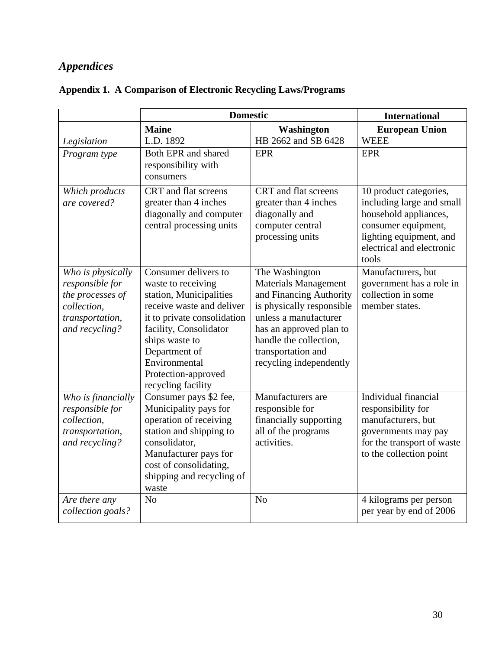# <span id="page-29-0"></span>*Appendices*

|                                                                                                              | <b>Domestic</b>                                                                                                                                                                                                                                              |                                                                                                                                                                                                                                      | <b>International</b>                                                                                                                                                 |  |  |  |
|--------------------------------------------------------------------------------------------------------------|--------------------------------------------------------------------------------------------------------------------------------------------------------------------------------------------------------------------------------------------------------------|--------------------------------------------------------------------------------------------------------------------------------------------------------------------------------------------------------------------------------------|----------------------------------------------------------------------------------------------------------------------------------------------------------------------|--|--|--|
|                                                                                                              | <b>Maine</b>                                                                                                                                                                                                                                                 | <b>Washington</b>                                                                                                                                                                                                                    | <b>European Union</b>                                                                                                                                                |  |  |  |
| Legislation                                                                                                  | L.D. 1892                                                                                                                                                                                                                                                    | HB 2662 and SB 6428                                                                                                                                                                                                                  | <b>WEEE</b>                                                                                                                                                          |  |  |  |
| Program type                                                                                                 | Both EPR and shared<br>responsibility with<br>consumers                                                                                                                                                                                                      | <b>EPR</b>                                                                                                                                                                                                                           | <b>EPR</b>                                                                                                                                                           |  |  |  |
| Which products<br>are covered?                                                                               | CRT and flat screens<br>greater than 4 inches<br>diagonally and computer<br>central processing units                                                                                                                                                         | CRT and flat screens<br>greater than 4 inches<br>diagonally and<br>computer central<br>processing units                                                                                                                              | 10 product categories,<br>including large and small<br>household appliances,<br>consumer equipment,<br>lighting equipment, and<br>electrical and electronic<br>tools |  |  |  |
| Who is physically<br>responsible for<br>the processes of<br>collection,<br>transportation,<br>and recycling? | Consumer delivers to<br>waste to receiving<br>station, Municipalities<br>receive waste and deliver<br>it to private consolidation<br>facility, Consolidator<br>ships waste to<br>Department of<br>Environmental<br>Protection-approved<br>recycling facility | The Washington<br><b>Materials Management</b><br>and Financing Authority<br>is physically responsible<br>unless a manufacturer<br>has an approved plan to<br>handle the collection,<br>transportation and<br>recycling independently | Manufacturers, but<br>government has a role in<br>collection in some<br>member states.                                                                               |  |  |  |
| Who is financially<br>responsible for<br>collection,<br>transportation,<br>and recycling?                    | Consumer pays \$2 fee,<br>Municipality pays for<br>operation of receiving<br>station and shipping to<br>consolidator,<br>Manufacturer pays for<br>cost of consolidating,<br>shipping and recycling of<br>waste                                               | Manufacturers are<br>responsible for<br>financially supporting<br>all of the programs<br>activities.                                                                                                                                 | Individual financial<br>responsibility for<br>manufacturers, but<br>governments may pay<br>for the transport of waste<br>to the collection point                     |  |  |  |
| Are there any<br>collection goals?                                                                           | N <sub>o</sub>                                                                                                                                                                                                                                               | N <sub>o</sub>                                                                                                                                                                                                                       | 4 kilograms per person<br>per year by end of 2006                                                                                                                    |  |  |  |

# **Appendix 1. A Comparison of Electronic Recycling Laws/Programs**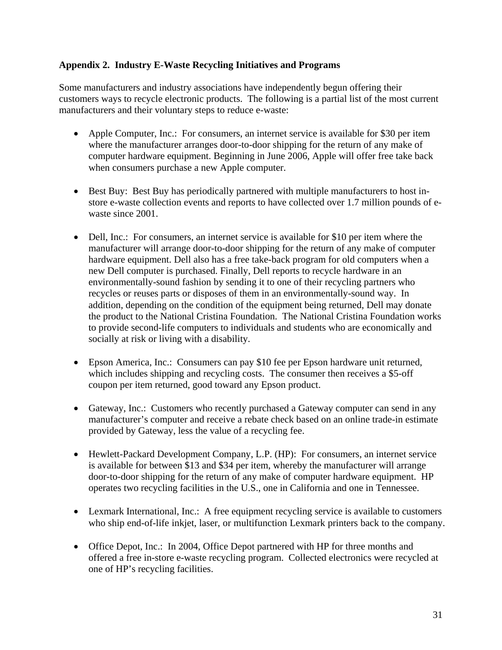## <span id="page-30-0"></span>**Appendix 2. Industry E-Waste Recycling Initiatives and Programs**

Some manufacturers and industry associations have independently begun offering their customers ways to recycle electronic products. The following is a partial list of the most current manufacturers and their voluntary steps to reduce e-waste:

- Apple Computer, Inc.: For consumers, an internet service is available for \$30 per item where the manufacturer arranges door-to-door shipping for the return of any make of computer hardware equipment. Beginning in June 2006, Apple will offer free take back when consumers purchase a new Apple computer.
- Best Buy: Best Buy has periodically partnered with multiple manufacturers to host instore e-waste collection events and reports to have collected over 1.7 million pounds of ewaste since 2001.
- Dell, Inc.: For consumers, an internet service is available for \$10 per item where the manufacturer will arrange door-to-door shipping for the return of any make of computer hardware equipment. Dell also has a free take-back program for old computers when a new Dell computer is purchased. Finally, Dell reports to recycle hardware in an environmentally-sound fashion by sending it to one of their recycling partners who recycles or reuses parts or disposes of them in an environmentally-sound way. In addition, depending on the condition of the equipment being returned, Dell may donate the product to the National Cristina Foundation. The National Cristina Foundation works to provide second-life computers to individuals and students who are economically and socially at risk or living with a disability.
- Epson America, Inc.: Consumers can pay \$10 fee per Epson hardware unit returned, which includes shipping and recycling costs. The consumer then receives a \$5-off coupon per item returned, good toward any Epson product.
- Gateway, Inc.: Customers who recently purchased a Gateway computer can send in any manufacturer's computer and receive a rebate check based on an online trade-in estimate provided by Gateway, less the value of a recycling fee.
- Hewlett-Packard Development Company, L.P. (HP): For consumers, an internet service is available for between \$13 and \$34 per item, whereby the manufacturer will arrange door-to-door shipping for the return of any make of computer hardware equipment. HP operates two recycling facilities in the U.S., one in California and one in Tennessee.
- Lexmark International, Inc.: A free equipment recycling service is available to customers who ship end-of-life inkjet, laser, or multifunction Lexmark printers back to the company.
- Office Depot, Inc.: In 2004, Office Depot partnered with HP for three months and offered a free in-store e-waste recycling program. Collected electronics were recycled at one of HP's recycling facilities.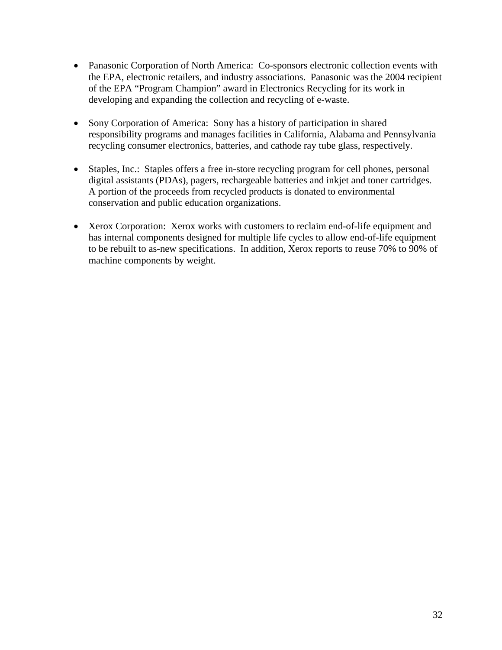- Panasonic Corporation of North America: Co-sponsors electronic collection events with the EPA, electronic retailers, and industry associations. Panasonic was the 2004 recipient of the EPA "Program Champion" award in Electronics Recycling for its work in developing and expanding the collection and recycling of e-waste.
- Sony Corporation of America: Sony has a history of participation in shared responsibility programs and manages facilities in California, Alabama and Pennsylvania recycling consumer electronics, batteries, and cathode ray tube glass, respectively.
- Staples, Inc.: Staples offers a free in-store recycling program for cell phones, personal digital assistants (PDAs), pagers, rechargeable batteries and inkjet and toner cartridges. A portion of the proceeds from recycled products is donated to environmental conservation and public education organizations.
- Xerox Corporation: Xerox works with customers to reclaim end-of-life equipment and has internal components designed for multiple life cycles to allow end-of-life equipment to be rebuilt to as-new specifications. In addition, Xerox reports to reuse 70% to 90% of machine components by weight.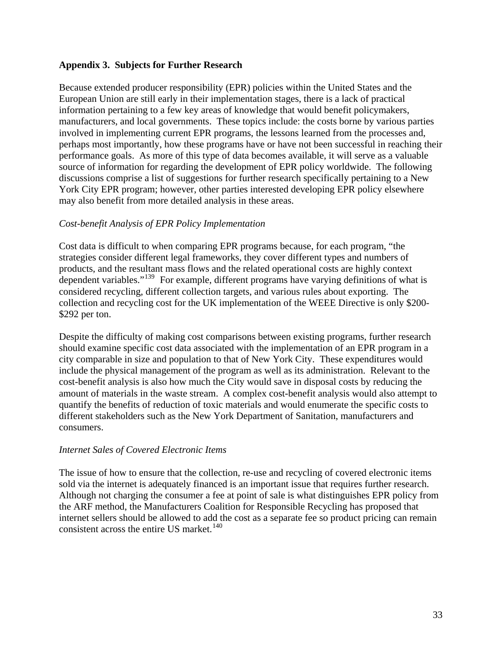#### <span id="page-32-0"></span>**Appendix 3. Subjects for Further Research**

Because extended producer responsibility (EPR) policies within the United States and the European Union are still early in their implementation stages, there is a lack of practical information pertaining to a few key areas of knowledge that would benefit policymakers, manufacturers, and local governments. These topics include: the costs borne by various parties involved in implementing current EPR programs, the lessons learned from the processes and, perhaps most importantly, how these programs have or have not been successful in reaching their performance goals. As more of this type of data becomes available, it will serve as a valuable source of information for regarding the development of EPR policy worldwide. The following discussions comprise a list of suggestions for further research specifically pertaining to a New York City EPR program; however, other parties interested developing EPR policy elsewhere may also benefit from more detailed analysis in these areas.

#### *Cost-benefit Analysis of EPR Policy Implementation*

Cost data is difficult to when comparing EPR programs because, for each program, "the strategies consider different legal frameworks, they cover different types and numbers of products, and the resultant mass flows and the related operational costs are highly context dependent variables."<sup>[139](#page-41-1)</sup> For example, different programs have varying definitions of what is considered recycling, different collection targets, and various rules about exporting. The collection and recycling cost for the UK implementation of the WEEE Directive is only \$200- \$292 per ton.

Despite the difficulty of making cost comparisons between existing programs, further research should examine specific cost data associated with the implementation of an EPR program in a city comparable in size and population to that of New York City. These expenditures would include the physical management of the program as well as its administration. Relevant to the cost-benefit analysis is also how much the City would save in disposal costs by reducing the amount of materials in the waste stream. A complex cost-benefit analysis would also attempt to quantify the benefits of reduction of toxic materials and would enumerate the specific costs to different stakeholders such as the New York Department of Sanitation, manufacturers and consumers.

## *Internet Sales of Covered Electronic Items*

The issue of how to ensure that the collection, re-use and recycling of covered electronic items sold via the internet is adequately financed is an important issue that requires further research. Although not charging the consumer a fee at point of sale is what distinguishes EPR policy from the ARF method, the Manufacturers Coalition for Responsible Recycling has proposed that internet sellers should be allowed to add the cost as a separate fee so product pricing can remain consistent across the entire US market.<sup>[140](#page-41-1)</sup>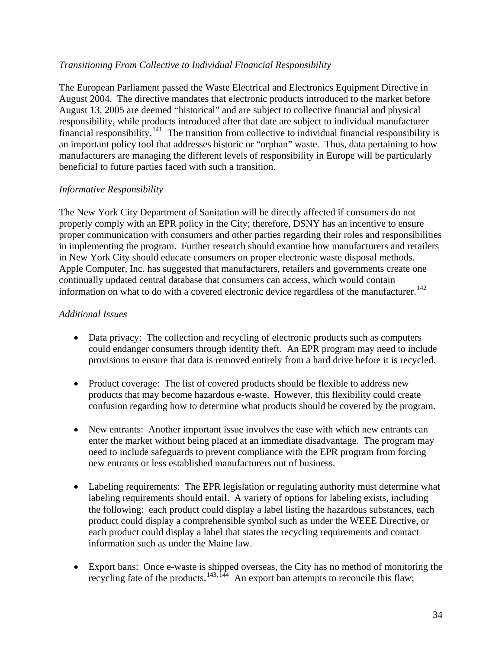#### *Transitioning From Collective to Individual Financial Responsibility*

The European Parliament passed the Waste Electrical and Electronics Equipment Directive in August 2004. The directive mandates that electronic products introduced to the market before August 13, 2005 are deemed "historical" and are subject to collective financial and physical responsibility, while products introduced after that date are subject to individual manufacturer financial responsibility.<sup>[141](#page-41-1)</sup> The transition from collective to individual financial responsibility is an important policy tool that addresses historic or "orphan" waste. Thus, data pertaining to how manufacturers are managing the different levels of responsibility in Europe will be particularly beneficial to future parties faced with such a transition.

#### *Informative Responsibility*

The New York City Department of Sanitation will be directly affected if consumers do not properly comply with an EPR policy in the City; therefore, DSNY has an incentive to ensure proper communication with consumers and other parties regarding their roles and responsibilities in implementing the program. Further research should examine how manufacturers and retailers in New York City should educate consumers on proper electronic waste disposal methods. Apple Computer, Inc. has suggested that manufacturers, retailers and governments create one continually updated central database that consumers can access, which would contain information on what to do with a covered electronic device regardless of the manufacturer.<sup>[142](#page-41-1)</sup>

#### *Additional Issues*

- Data privacy: The collection and recycling of electronic products such as computers could endanger consumers through identity theft. An EPR program may need to include provisions to ensure that data is removed entirely from a hard drive before it is recycled.
- Product coverage: The list of covered products should be flexible to address new products that may become hazardous e-waste. However, this flexibility could create confusion regarding how to determine what products should be covered by the program.
- New entrants: Another important issue involves the ease with which new entrants can enter the market without being placed at an immediate disadvantage. The program may need to include safeguards to prevent compliance with the EPR program from forcing new entrants or less established manufacturers out of business.
- Labeling requirements: The EPR legislation or regulating authority must determine what labeling requirements should entail. A variety of options for labeling exists, including the following: each product could display a label listing the hazardous substances, each product could display a comprehensible symbol such as under the WEEE Directive, or each product could display a label that states the recycling requirements and contact information such as under the Maine law.
- Export bans: Once e-waste is shipped overseas, the City has no method of monitoring the recycling fate of the products.<sup>[143](#page-41-1),[144](#page-41-1)</sup> An export ban attempts to reconcile this flaw;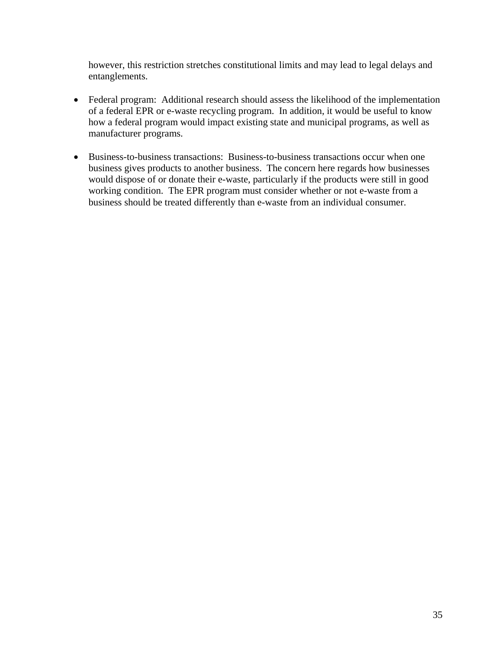however, this restriction stretches constitutional limits and may lead to legal delays and entanglements.

- Federal program: Additional research should assess the likelihood of the implementation of a federal EPR or e-waste recycling program. In addition, it would be useful to know how a federal program would impact existing state and municipal programs, as well as manufacturer programs.
- Business-to-business transactions: Business-to-business transactions occur when one business gives products to another business. The concern here regards how businesses would dispose of or donate their e-waste, particularly if the products were still in good working condition. The EPR program must consider whether or not e-waste from a business should be treated differently than e-waste from an individual consumer.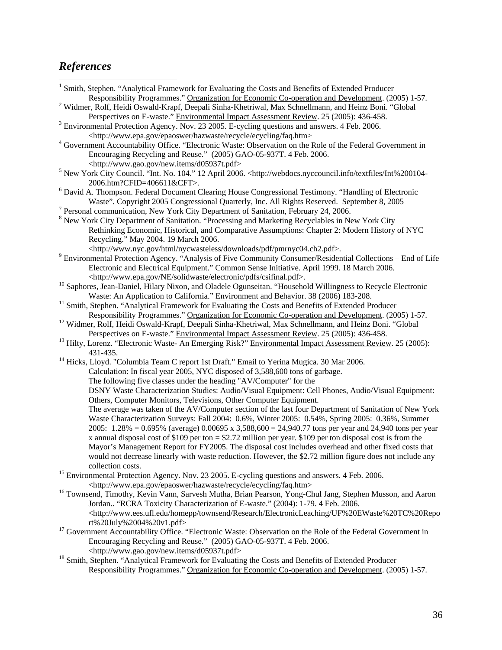# <span id="page-35-0"></span>*References*

| <sup>1</sup> Smith, Stephen. "Analytical Framework for Evaluating the Costs and Benefits of Extended Producer                                    |
|--------------------------------------------------------------------------------------------------------------------------------------------------|
| Responsibility Programmes." Organization for Economic Co-operation and Development. (2005) 1-57.                                                 |
| <sup>2</sup> Widmer, Rolf, Heidi Oswald-Krapf, Deepali Sinha-Khetriwal, Max Schnellmann, and Heinz Boni. "Global                                 |
| Perspectives on E-waste." Environmental Impact Assessment Review. 25 (2005): 436-458.                                                            |
| <sup>3</sup> Environmental Protection Agency. Nov. 23 2005. E-cycling questions and answers. 4 Feb. 2006.                                        |
| <http: ecycling="" epaoswer="" faq.htm="" hazwaste="" recycle="" www.epa.gov=""></http:>                                                         |
| <sup>4</sup> Government Accountability Office. "Electronic Waste: Observation on the Role of the Federal Government in                           |
| Encouraging Recycling and Reuse." (2005) GAO-05-937T. 4 Feb. 2006.                                                                               |
| <http: d05937t.pdf="" new.items="" www.gao.gov=""></http:>                                                                                       |
| <sup>5</sup> New York City Council. "Int. No. 104." 12 April 2006. <http: int%200104-<="" td="" textfiles="" webdocs.nyccouncil.info=""></http:> |
| 2006.htm?CFID=406611&CFT>.                                                                                                                       |
| <sup>6</sup> David A. Thompson. Federal Document Clearing House Congressional Testimony. "Handling of Electronic                                 |
| Waste". Copyright 2005 Congressional Quarterly, Inc. All Rights Reserved. September 8, 2005                                                      |
| <sup>7</sup> Personal communication, New York City Department of Sanitation, February 24, 2006.                                                  |
| <sup>8</sup> New York City Department of Sanitation. "Processing and Marketing Recyclables in New York City                                      |
| Rethinking Economic, Historical, and Comparative Assumptions: Chapter 2: Modern History of NYC                                                   |
| Recycling." May 2004. 19 March 2006.                                                                                                             |
| <http: downloads="" html="" nycwasteless="" pdf="" pmrnyc04.ch2.pdf="" www.nyc.gov="">.</http:>                                                  |
| <sup>9</sup> Environmental Protection Agency. "Analysis of Five Community Consumer/Residential Collections – End of Life                         |
| Electronic and Electrical Equipment." Common Sense Initiative. April 1999. 18 March 2006.                                                        |
| <http: csifinal.pdf="" electronic="" ne="" pdfs="" solidwaste="" www.epa.gov="">.</http:>                                                        |
| <sup>10</sup> Saphores, Jean-Daniel, Hilary Nixon, and Oladele Ogunseitan. "Household Willingness to Recycle Electronic                          |
| Waste: An Application to California." Environment and Behavior. 38 (2006) 183-208.                                                               |
| <sup>11</sup> Smith, Stephen. "Analytical Framework for Evaluating the Costs and Benefits of Extended Producer                                   |
| Responsibility Programmes." Organization for Economic Co-operation and Development. (2005) 1-57.                                                 |
| <sup>12</sup> Widmer, Rolf, Heidi Oswald-Krapf, Deepali Sinha-Khetriwal, Max Schnellmann, and Heinz Boni. "Global                                |
| Perspectives on E-waste." Environmental Impact Assessment Review. 25 (2005): 436-458.                                                            |
| <sup>13</sup> Hilty, Lorenz. "Electronic Waste- An Emerging Risk?" Environmental Impact Assessment Review. 25 (2005):                            |
| 431-435.                                                                                                                                         |
| <sup>14</sup> Hicks, Lloyd. "Columbia Team C report 1st Draft." Email to Yerina Mugica. 30 Mar 2006.                                             |
| Calculation: In fiscal year 2005, NYC disposed of 3,588,600 tons of garbage.                                                                     |
| The following five classes under the heading "AV/Computer" for the                                                                               |
| DSNY Waste Characterization Studies: Audio/Visual Equipment: Cell Phones, Audio/Visual Equipment:                                                |
| Others, Computer Monitors, Televisions, Other Computer Equipment.                                                                                |
| The average was taken of the AV/Computer section of the last four Department of Sanitation of New York                                           |
| Waste Characterization Surveys: Fall 2004: 0.6%, Winter 2005: 0.54%, Spring 2005: 0.36%, Summer                                                  |
| 2005: $1.28\% = 0.695\%$ (average) $0.00695$ x 3,588,600 = 24,940.77 tons per year and 24,940 tons per year                                      |
| x annual disposal cost of \$109 per ton = \$2.72 million per year. \$109 per ton disposal cost is from the                                       |
| Mayor's Management Report for FY2005. The disposal cost includes overhead and other fixed costs that                                             |
| would not decrease linearly with waste reduction. However, the \$2.72 million figure does not include any                                        |
| collection costs.                                                                                                                                |
| <sup>15</sup> Environmental Protection Agency. Nov. 23 2005. E-cycling questions and answers. 4 Feb. 2006.                                       |
| <http: ecycling="" epaoswer="" faq.htm="" hazwaste="" recycle="" www.epa.gov=""></http:>                                                         |
| <sup>16</sup> Townsend, Timothy, Kevin Vann, Sarvesh Mutha, Brian Pearson, Yong-Chul Jang, Stephen Musson, and Aaron                             |
| Jordan "RCRA Toxicity Characterization of E-waste." (2004): 1-79. 4 Feb. 2006.                                                                   |
| <http: electronicleaching="" homepp="" http:="" research="" td="" townsend="" uf%20ewaste%20tc%20repo<="" www.ees.ufl.edu=""></http:>            |
| rt%20July%2004%20v1.pdf>                                                                                                                         |
| <sup>17</sup> Government Accountability Office. "Electronic Waste: Observation on the Role of the Federal Government in                          |
| Encouraging Recycling and Reuse." (2005) GAO-05-937T. 4 Feb. 2006.                                                                               |

<http://www.gao.gov/new.items/d05937t.pdf> 18 Smith, Stephen. "Analytical Framework for Evaluating the Costs and Benefits of Extended Producer Responsibility Programmes." Organization for Economic Co-operation and Development. (2005) 1-57.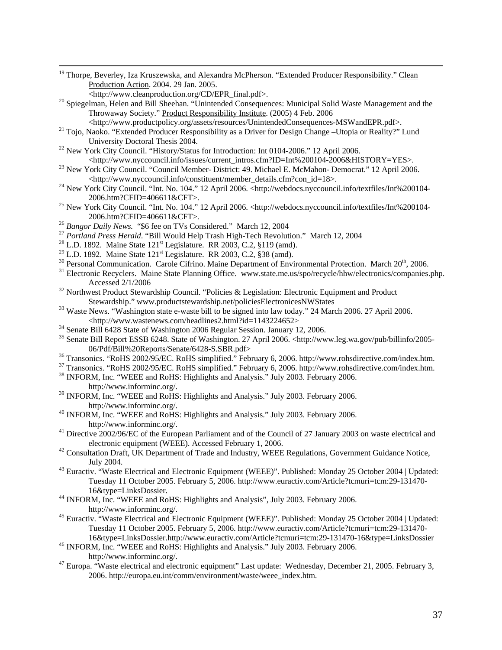<sup>19</sup> Thorpe, Beverley, Iza Kruszewska, and Alexandra McPherson. "Extended Producer Responsibility." Clean Production Action. 2004. 29 Jan. 2005.<br>
<http://www.cleanproduction.org/CD/EPR final.pdf>.

- <sup>20</sup> Spiegelman, Helen and Bill Sheehan. "Unintended Consequences: Municipal Solid Waste Management and the Throwaway Society." Product Responsibility Institute. (2005) 4 Feb. 2006<br><http://www.productpolicy.org/assets/resources/UnintendedConsequences-MSWandEPR.pdf>.
	-
- <sup>21</sup> Tojo, Naoko. "Extended Producer Responsibility as a Driver for Design Change –Utopia or Reality?" Lund University Doctoral Thesis 2004.<br><sup>22</sup> New York City Council. "History/Status for Introduction: Int 0104-2006." 12 April 2006.
- 
- <http://www.nyccouncil.info/issues/current\_intros.cfm?ID=Int%200104-2006&HISTORY=YES>. 23 New York City Council. "Council Member- District: 49. Michael E. McMahon- Democrat." 12 April 2006.
- <sup>24</sup> New York City Council. "Int. No. 104." 12 April 2006. <http://webdocs.nyccouncil.info/textfiles/Int%200104-2006.htm?CFID=406611&CFT>. 25 New York City Council. "Int. No. 104." 12 April 2006. <http://webdocs.nyccouncil.info/textfiles/Int%200104-
- 
- 
- 2006.htm?CFID=406611&CFT>.<br><sup>26</sup> Bangor Daily News. "\$6 fee on TVs Considered." March 12, 2004<br><sup>27</sup> Portland Press Herald. "Bill Would Help Trash High-Tech Revolution." March 12, 2004<br><sup>28</sup> L.D. 1892. Maine State 121<sup>st</sup> Le
- 
- 
- $30$  Personal Communication. Carole Cifrino. Maine Department of Environmental Protection. March  $20^{th}$ , 2006.<br><sup>31</sup> Electronic Recyclers. Maine State Planning Office. www.state.me.us/spo/recycle/hhw/electronics/companies
- Accessed 2/1/2006<br><sup>32</sup> Northwest Product Stewardship Council. "Policies & Legislation: Electronic Equipment and Product
- 
- Stewardship." www.productstewardship.net/policiesElectronicesNWStates 33 Waste News. "Washington state e-waste bill to be signed into law today." 24 March 2006. 27 April 2006.
- <sup>34</sup> Senate Bill 6428 State of Washington 2006 Regular Session. January 12, 2006.
- 35 Senate Bill Report ESSB 6248. State of Washington. 27 April 2006. <http://www.leg.wa.gov/pub/billinfo/2005- 06/Pdf/Bill%20Reports/Senate/6428-S.SBR.pdf><br><sup>36</sup> Transonics. "RoHS 2002/95/EC. RoHS simplified." February 6, 2006. http://www.rohsdirective.com/index.htm.<br><sup>37</sup> Transonics. "RoHS 2002/95/EC. RoHS simplified." February 6, 2
- 
- 
- http://www.informinc.org/.
- <sup>39</sup> INFORM, Inc. "WEEE and RoHS: Highlights and Analysis." July 2003. February 2006. http://www.informinc.org/. 40 INFORM, Inc. "WEEE and RoHS: Highlights and Analysis." July 2003. February 2006.
- 
- http://www.informinc.org/.<br><sup>41</sup> Directive 2002/96/EC of the European Parliament and of the Council of 27 January 2003 on waste electrical and electronic equipment (WEEE). Accessed February 1, 2006.<br><sup>42</sup> Consultation Draft, UK Department of Trade and Industry, WEEE Regulations, Government Guidance Notice,
- July 2004. 43 Euractiv. "Waste Electrical and Electronic Equipment (WEEE)". Published: Monday 25 October 2004 | Updated:
- Tuesday 11 October 2005. February 5, 2006. http://www.euractiv.com/Article?tcmuri=tcm:29-131470-16&type=LinksDossier.
- <sup>44</sup> INFORM, Inc. "WEEE and RoHS: Highlights and Analysis", July 2003. February 2006.
- http://www.informinc.org/. 45 Euractiv. "Waste Electrical and Electronic Equipment (WEEE)". Published: Monday 25 October 2004 | Updated: Tuesday 11 October 2005. February 5, 2006. http://www.euractiv.com/Article?tcmuri=tcm:29-131470-<br>16&type=LinksDossier.http://www.euractiv.com/Article?tcmuri=tcm:29-131470-16&type=LinksDossier
- $^{46}$  INFORM, Inc. "WEEE and RoHS: Highlights and Analysis." July 2003. February 2006.
- http://www.informinc.org/.<br><sup>47</sup> Europa. "Waste electrical and electronic equipment" Last update: Wednesday, December 21, 2005. February 3, 2006. http://europa.eu.int/comm/environment/waste/weee\_index.htm.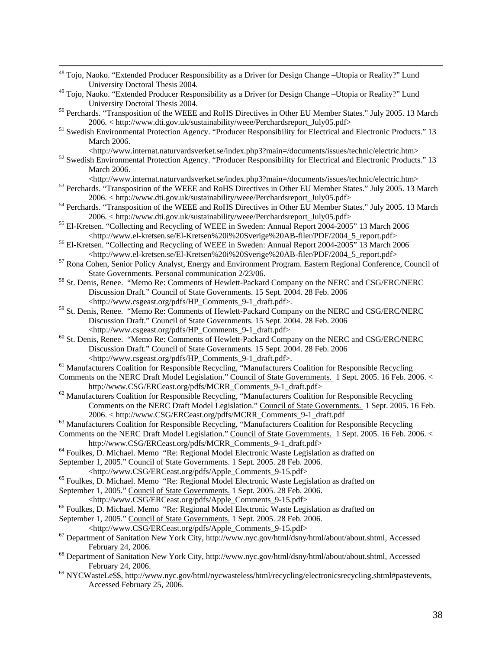| <sup>48</sup> Tojo, Naoko. "Extended Producer Responsibility as a Driver for Design Change -Utopia or Reality?" Lund<br>University Doctoral Thesis 2004.<br><sup>49</sup> Tojo, Naoko. "Extended Producer Responsibility as a Driver for Design Change -Utopia or Reality?" Lund<br>University Doctoral Thesis 2004.<br><sup>50</sup> Perchards. "Transposition of the WEEE and RoHS Directives in Other EU Member States." July 2005. 13 March<br>2006. < http://www.dti.gov.uk/sustainability/weee/Perchardsreport_July05.pdf><br><sup>51</sup> Swedish Environmental Protection Agency. "Producer Responsibility for Electrical and Electronic Products." 13<br>March 2006.<br><http: index.php3?main="/documents/issues/technic/electric.htm" www.internat.naturvardsverket.se=""><br/><sup>52</sup> Swedish Environmental Protection Agency. "Producer Responsibility for Electrical and Electronic Products." 13<br/>March 2006.<br/><http: index.php3?main="/documents/issues/technic/electric.htm" www.internat.naturvardsverket.se=""><br/><sup>53</sup> Perchards. "Transposition of the WEEE and RoHS Directives in Other EU Member States." July 2005. 13 March<br/>2006. &lt; http://www.dti.gov.uk/sustainability/weee/Perchardsreport_July05.pdf&gt;<br/><sup>54</sup> Perchards. "Transposition of the WEEE and RoHS Directives in Other EU Member States." July 2005. 13 March<br/>2006. &lt; http://www.dti.gov.uk/sustainability/weee/Perchardsreport_July05.pdf&gt;<br/><sup>55</sup> El-Kretsen. "Collecting and Recycling of WEEE in Sweden: Annual Report 2004-2005" 13 March 2006<br/><http: 2004_5_report.pdf="" el-kretsen%20i%20sverige%20ab-filer="" pdf="" www.el-kretsen.se=""><br/><sup>56</sup> El-Kretsen. "Collecting and Recycling of WEEE in Sweden: Annual Report 2004-2005" 13 March 2006<br/><http: 2004_5_report.pdf="" el-kretsen%20i%20sverige%20ab-filer="" pdf="" www.el-kretsen.se=""><br/><sup>57</sup> Rona Cohen, Senior Policy Analyst, Energy and Environment Program. Eastern Regional Conference, Council of<br/>State Governments. Personal communication 2/23/06.<br/><sup>58</sup> St. Denis, Renee. "Memo Re: Comments of Hewlett-Packard Company on the NERC and CSG/ERC/NERC<br/>Discussion Draft." Council of State Governments. 15 Sept. 2004. 28 Feb. 2006<br/><http: hp_comments_9-1_draft.pdf="" pdfs="" www.csgeast.org="">.<br/><sup>59</sup> St. Denis, Renee. "Memo Re: Comments of Hewlett-Packard Company on the NERC and CSG/ERC/NERC<br/>Discussion Draft." Council of State Governments. 15 Sept. 2004. 28 Feb. 2006<br/><http: hp_comments_9-1_draft.pdf="" pdfs="" www.csgeast.org=""><br/><sup>60</sup> St. Denis, Renee. "Memo Re: Comments of Hewlett-Packard Company on the NERC and CSG/ERC/NERC<br/>Discussion Draft." Council of State Governments. 15 Sept. 2004. 28 Feb. 2006<br/><http: hp_comments_9-1_draft.pdf="" pdfs="" www.csgeast.org="">.<br/><sup>61</sup> Manufacturers Coalition for Responsible Recycling, "Manufacturers Coalition for Responsible Recycling<br/>Comments on the NERC Draft Model Legislation." Council of State Governments. 1 Sept. 2005. 16 Feb. 2006. &lt;<br/>http://www.CSG/ERCeast.org/pdfs/MCRR_Comments_9-1_draft.pdf&gt;<br/><sup>62</sup> Manufacturers Coalition for Responsible Recycling, "Manufacturers Coalition for Responsible Recycling<br/>Comments on the NERC Draft Model Legislation." Council of State Governments. 1 Sept. 2005. 16 Feb.<br/>2006. &lt; http://www.CSG/ERCeast.org/pdfs/MCRR_Comments_9-1_draft.pdf<br/><sup>63</sup> Manufacturers Coalition for Responsible Recycling, "Manufacturers Coalition for Responsible Recycling<br/>Comments on the NERC Draft Model Legislation." Council of State Governments. 1 Sept. 2005. 16 Feb. 2006. &lt;<br/>http://www.CSG/ERCeast.org/pdfs/MCRR_Comments_9-1_draft.pdf&gt;<br/><sup>64</sup> Foulkes, D. Michael. Memo "Re: Regional Model Electronic Waste Legislation as drafted on<br/>September 1, 2005." Council of State Governments. 1 Sept. 2005. 28 Feb. 2006.<br/><http: apple_comments_9-15.pdf="" erceast.org="" pdfs="" www.csg=""></http:></http:></http:></http:></http:></http:></http:></http:> |
|-------------------------------------------------------------------------------------------------------------------------------------------------------------------------------------------------------------------------------------------------------------------------------------------------------------------------------------------------------------------------------------------------------------------------------------------------------------------------------------------------------------------------------------------------------------------------------------------------------------------------------------------------------------------------------------------------------------------------------------------------------------------------------------------------------------------------------------------------------------------------------------------------------------------------------------------------------------------------------------------------------------------------------------------------------------------------------------------------------------------------------------------------------------------------------------------------------------------------------------------------------------------------------------------------------------------------------------------------------------------------------------------------------------------------------------------------------------------------------------------------------------------------------------------------------------------------------------------------------------------------------------------------------------------------------------------------------------------------------------------------------------------------------------------------------------------------------------------------------------------------------------------------------------------------------------------------------------------------------------------------------------------------------------------------------------------------------------------------------------------------------------------------------------------------------------------------------------------------------------------------------------------------------------------------------------------------------------------------------------------------------------------------------------------------------------------------------------------------------------------------------------------------------------------------------------------------------------------------------------------------------------------------------------------------------------------------------------------------------------------------------------------------------------------------------------------------------------------------------------------------------------------------------------------------------------------------------------------------------------------------------------------------------------------------------------------------------------------------------------------------------------------------------------------------------------------------------------------------------------------------------------------------------------------------------------------------------------------------------------------------------------------------------------------------------------------------------------------------------------------------------------------------------------------------------------------------------------------------------------------------------------------------------------------------------------------------------------------------------------------------------------------------------------------------------------------------------------------------------------------------------------------------------------------------------------------------------------------------------------------------------------------------------------------------------------------------------------------------------------------------------------------------------------------------------------------------------------------|
|                                                                                                                                                                                                                                                                                                                                                                                                                                                                                                                                                                                                                                                                                                                                                                                                                                                                                                                                                                                                                                                                                                                                                                                                                                                                                                                                                                                                                                                                                                                                                                                                                                                                                                                                                                                                                                                                                                                                                                                                                                                                                                                                                                                                                                                                                                                                                                                                                                                                                                                                                                                                                                                                                                                                                                                                                                                                                                                                                                                                                                                                                                                                                                                                                                                                                                                                                                                                                                                                                                                                                                                                                                                                                                                                                                                                                                                                                                                                                                                                                                                                                                                                                                                                                   |
|                                                                                                                                                                                                                                                                                                                                                                                                                                                                                                                                                                                                                                                                                                                                                                                                                                                                                                                                                                                                                                                                                                                                                                                                                                                                                                                                                                                                                                                                                                                                                                                                                                                                                                                                                                                                                                                                                                                                                                                                                                                                                                                                                                                                                                                                                                                                                                                                                                                                                                                                                                                                                                                                                                                                                                                                                                                                                                                                                                                                                                                                                                                                                                                                                                                                                                                                                                                                                                                                                                                                                                                                                                                                                                                                                                                                                                                                                                                                                                                                                                                                                                                                                                                                                   |
|                                                                                                                                                                                                                                                                                                                                                                                                                                                                                                                                                                                                                                                                                                                                                                                                                                                                                                                                                                                                                                                                                                                                                                                                                                                                                                                                                                                                                                                                                                                                                                                                                                                                                                                                                                                                                                                                                                                                                                                                                                                                                                                                                                                                                                                                                                                                                                                                                                                                                                                                                                                                                                                                                                                                                                                                                                                                                                                                                                                                                                                                                                                                                                                                                                                                                                                                                                                                                                                                                                                                                                                                                                                                                                                                                                                                                                                                                                                                                                                                                                                                                                                                                                                                                   |
|                                                                                                                                                                                                                                                                                                                                                                                                                                                                                                                                                                                                                                                                                                                                                                                                                                                                                                                                                                                                                                                                                                                                                                                                                                                                                                                                                                                                                                                                                                                                                                                                                                                                                                                                                                                                                                                                                                                                                                                                                                                                                                                                                                                                                                                                                                                                                                                                                                                                                                                                                                                                                                                                                                                                                                                                                                                                                                                                                                                                                                                                                                                                                                                                                                                                                                                                                                                                                                                                                                                                                                                                                                                                                                                                                                                                                                                                                                                                                                                                                                                                                                                                                                                                                   |
|                                                                                                                                                                                                                                                                                                                                                                                                                                                                                                                                                                                                                                                                                                                                                                                                                                                                                                                                                                                                                                                                                                                                                                                                                                                                                                                                                                                                                                                                                                                                                                                                                                                                                                                                                                                                                                                                                                                                                                                                                                                                                                                                                                                                                                                                                                                                                                                                                                                                                                                                                                                                                                                                                                                                                                                                                                                                                                                                                                                                                                                                                                                                                                                                                                                                                                                                                                                                                                                                                                                                                                                                                                                                                                                                                                                                                                                                                                                                                                                                                                                                                                                                                                                                                   |
|                                                                                                                                                                                                                                                                                                                                                                                                                                                                                                                                                                                                                                                                                                                                                                                                                                                                                                                                                                                                                                                                                                                                                                                                                                                                                                                                                                                                                                                                                                                                                                                                                                                                                                                                                                                                                                                                                                                                                                                                                                                                                                                                                                                                                                                                                                                                                                                                                                                                                                                                                                                                                                                                                                                                                                                                                                                                                                                                                                                                                                                                                                                                                                                                                                                                                                                                                                                                                                                                                                                                                                                                                                                                                                                                                                                                                                                                                                                                                                                                                                                                                                                                                                                                                   |
|                                                                                                                                                                                                                                                                                                                                                                                                                                                                                                                                                                                                                                                                                                                                                                                                                                                                                                                                                                                                                                                                                                                                                                                                                                                                                                                                                                                                                                                                                                                                                                                                                                                                                                                                                                                                                                                                                                                                                                                                                                                                                                                                                                                                                                                                                                                                                                                                                                                                                                                                                                                                                                                                                                                                                                                                                                                                                                                                                                                                                                                                                                                                                                                                                                                                                                                                                                                                                                                                                                                                                                                                                                                                                                                                                                                                                                                                                                                                                                                                                                                                                                                                                                                                                   |
|                                                                                                                                                                                                                                                                                                                                                                                                                                                                                                                                                                                                                                                                                                                                                                                                                                                                                                                                                                                                                                                                                                                                                                                                                                                                                                                                                                                                                                                                                                                                                                                                                                                                                                                                                                                                                                                                                                                                                                                                                                                                                                                                                                                                                                                                                                                                                                                                                                                                                                                                                                                                                                                                                                                                                                                                                                                                                                                                                                                                                                                                                                                                                                                                                                                                                                                                                                                                                                                                                                                                                                                                                                                                                                                                                                                                                                                                                                                                                                                                                                                                                                                                                                                                                   |
|                                                                                                                                                                                                                                                                                                                                                                                                                                                                                                                                                                                                                                                                                                                                                                                                                                                                                                                                                                                                                                                                                                                                                                                                                                                                                                                                                                                                                                                                                                                                                                                                                                                                                                                                                                                                                                                                                                                                                                                                                                                                                                                                                                                                                                                                                                                                                                                                                                                                                                                                                                                                                                                                                                                                                                                                                                                                                                                                                                                                                                                                                                                                                                                                                                                                                                                                                                                                                                                                                                                                                                                                                                                                                                                                                                                                                                                                                                                                                                                                                                                                                                                                                                                                                   |
|                                                                                                                                                                                                                                                                                                                                                                                                                                                                                                                                                                                                                                                                                                                                                                                                                                                                                                                                                                                                                                                                                                                                                                                                                                                                                                                                                                                                                                                                                                                                                                                                                                                                                                                                                                                                                                                                                                                                                                                                                                                                                                                                                                                                                                                                                                                                                                                                                                                                                                                                                                                                                                                                                                                                                                                                                                                                                                                                                                                                                                                                                                                                                                                                                                                                                                                                                                                                                                                                                                                                                                                                                                                                                                                                                                                                                                                                                                                                                                                                                                                                                                                                                                                                                   |
|                                                                                                                                                                                                                                                                                                                                                                                                                                                                                                                                                                                                                                                                                                                                                                                                                                                                                                                                                                                                                                                                                                                                                                                                                                                                                                                                                                                                                                                                                                                                                                                                                                                                                                                                                                                                                                                                                                                                                                                                                                                                                                                                                                                                                                                                                                                                                                                                                                                                                                                                                                                                                                                                                                                                                                                                                                                                                                                                                                                                                                                                                                                                                                                                                                                                                                                                                                                                                                                                                                                                                                                                                                                                                                                                                                                                                                                                                                                                                                                                                                                                                                                                                                                                                   |
|                                                                                                                                                                                                                                                                                                                                                                                                                                                                                                                                                                                                                                                                                                                                                                                                                                                                                                                                                                                                                                                                                                                                                                                                                                                                                                                                                                                                                                                                                                                                                                                                                                                                                                                                                                                                                                                                                                                                                                                                                                                                                                                                                                                                                                                                                                                                                                                                                                                                                                                                                                                                                                                                                                                                                                                                                                                                                                                                                                                                                                                                                                                                                                                                                                                                                                                                                                                                                                                                                                                                                                                                                                                                                                                                                                                                                                                                                                                                                                                                                                                                                                                                                                                                                   |
|                                                                                                                                                                                                                                                                                                                                                                                                                                                                                                                                                                                                                                                                                                                                                                                                                                                                                                                                                                                                                                                                                                                                                                                                                                                                                                                                                                                                                                                                                                                                                                                                                                                                                                                                                                                                                                                                                                                                                                                                                                                                                                                                                                                                                                                                                                                                                                                                                                                                                                                                                                                                                                                                                                                                                                                                                                                                                                                                                                                                                                                                                                                                                                                                                                                                                                                                                                                                                                                                                                                                                                                                                                                                                                                                                                                                                                                                                                                                                                                                                                                                                                                                                                                                                   |
|                                                                                                                                                                                                                                                                                                                                                                                                                                                                                                                                                                                                                                                                                                                                                                                                                                                                                                                                                                                                                                                                                                                                                                                                                                                                                                                                                                                                                                                                                                                                                                                                                                                                                                                                                                                                                                                                                                                                                                                                                                                                                                                                                                                                                                                                                                                                                                                                                                                                                                                                                                                                                                                                                                                                                                                                                                                                                                                                                                                                                                                                                                                                                                                                                                                                                                                                                                                                                                                                                                                                                                                                                                                                                                                                                                                                                                                                                                                                                                                                                                                                                                                                                                                                                   |
|                                                                                                                                                                                                                                                                                                                                                                                                                                                                                                                                                                                                                                                                                                                                                                                                                                                                                                                                                                                                                                                                                                                                                                                                                                                                                                                                                                                                                                                                                                                                                                                                                                                                                                                                                                                                                                                                                                                                                                                                                                                                                                                                                                                                                                                                                                                                                                                                                                                                                                                                                                                                                                                                                                                                                                                                                                                                                                                                                                                                                                                                                                                                                                                                                                                                                                                                                                                                                                                                                                                                                                                                                                                                                                                                                                                                                                                                                                                                                                                                                                                                                                                                                                                                                   |
|                                                                                                                                                                                                                                                                                                                                                                                                                                                                                                                                                                                                                                                                                                                                                                                                                                                                                                                                                                                                                                                                                                                                                                                                                                                                                                                                                                                                                                                                                                                                                                                                                                                                                                                                                                                                                                                                                                                                                                                                                                                                                                                                                                                                                                                                                                                                                                                                                                                                                                                                                                                                                                                                                                                                                                                                                                                                                                                                                                                                                                                                                                                                                                                                                                                                                                                                                                                                                                                                                                                                                                                                                                                                                                                                                                                                                                                                                                                                                                                                                                                                                                                                                                                                                   |
|                                                                                                                                                                                                                                                                                                                                                                                                                                                                                                                                                                                                                                                                                                                                                                                                                                                                                                                                                                                                                                                                                                                                                                                                                                                                                                                                                                                                                                                                                                                                                                                                                                                                                                                                                                                                                                                                                                                                                                                                                                                                                                                                                                                                                                                                                                                                                                                                                                                                                                                                                                                                                                                                                                                                                                                                                                                                                                                                                                                                                                                                                                                                                                                                                                                                                                                                                                                                                                                                                                                                                                                                                                                                                                                                                                                                                                                                                                                                                                                                                                                                                                                                                                                                                   |
|                                                                                                                                                                                                                                                                                                                                                                                                                                                                                                                                                                                                                                                                                                                                                                                                                                                                                                                                                                                                                                                                                                                                                                                                                                                                                                                                                                                                                                                                                                                                                                                                                                                                                                                                                                                                                                                                                                                                                                                                                                                                                                                                                                                                                                                                                                                                                                                                                                                                                                                                                                                                                                                                                                                                                                                                                                                                                                                                                                                                                                                                                                                                                                                                                                                                                                                                                                                                                                                                                                                                                                                                                                                                                                                                                                                                                                                                                                                                                                                                                                                                                                                                                                                                                   |
|                                                                                                                                                                                                                                                                                                                                                                                                                                                                                                                                                                                                                                                                                                                                                                                                                                                                                                                                                                                                                                                                                                                                                                                                                                                                                                                                                                                                                                                                                                                                                                                                                                                                                                                                                                                                                                                                                                                                                                                                                                                                                                                                                                                                                                                                                                                                                                                                                                                                                                                                                                                                                                                                                                                                                                                                                                                                                                                                                                                                                                                                                                                                                                                                                                                                                                                                                                                                                                                                                                                                                                                                                                                                                                                                                                                                                                                                                                                                                                                                                                                                                                                                                                                                                   |
|                                                                                                                                                                                                                                                                                                                                                                                                                                                                                                                                                                                                                                                                                                                                                                                                                                                                                                                                                                                                                                                                                                                                                                                                                                                                                                                                                                                                                                                                                                                                                                                                                                                                                                                                                                                                                                                                                                                                                                                                                                                                                                                                                                                                                                                                                                                                                                                                                                                                                                                                                                                                                                                                                                                                                                                                                                                                                                                                                                                                                                                                                                                                                                                                                                                                                                                                                                                                                                                                                                                                                                                                                                                                                                                                                                                                                                                                                                                                                                                                                                                                                                                                                                                                                   |
|                                                                                                                                                                                                                                                                                                                                                                                                                                                                                                                                                                                                                                                                                                                                                                                                                                                                                                                                                                                                                                                                                                                                                                                                                                                                                                                                                                                                                                                                                                                                                                                                                                                                                                                                                                                                                                                                                                                                                                                                                                                                                                                                                                                                                                                                                                                                                                                                                                                                                                                                                                                                                                                                                                                                                                                                                                                                                                                                                                                                                                                                                                                                                                                                                                                                                                                                                                                                                                                                                                                                                                                                                                                                                                                                                                                                                                                                                                                                                                                                                                                                                                                                                                                                                   |
|                                                                                                                                                                                                                                                                                                                                                                                                                                                                                                                                                                                                                                                                                                                                                                                                                                                                                                                                                                                                                                                                                                                                                                                                                                                                                                                                                                                                                                                                                                                                                                                                                                                                                                                                                                                                                                                                                                                                                                                                                                                                                                                                                                                                                                                                                                                                                                                                                                                                                                                                                                                                                                                                                                                                                                                                                                                                                                                                                                                                                                                                                                                                                                                                                                                                                                                                                                                                                                                                                                                                                                                                                                                                                                                                                                                                                                                                                                                                                                                                                                                                                                                                                                                                                   |
|                                                                                                                                                                                                                                                                                                                                                                                                                                                                                                                                                                                                                                                                                                                                                                                                                                                                                                                                                                                                                                                                                                                                                                                                                                                                                                                                                                                                                                                                                                                                                                                                                                                                                                                                                                                                                                                                                                                                                                                                                                                                                                                                                                                                                                                                                                                                                                                                                                                                                                                                                                                                                                                                                                                                                                                                                                                                                                                                                                                                                                                                                                                                                                                                                                                                                                                                                                                                                                                                                                                                                                                                                                                                                                                                                                                                                                                                                                                                                                                                                                                                                                                                                                                                                   |
|                                                                                                                                                                                                                                                                                                                                                                                                                                                                                                                                                                                                                                                                                                                                                                                                                                                                                                                                                                                                                                                                                                                                                                                                                                                                                                                                                                                                                                                                                                                                                                                                                                                                                                                                                                                                                                                                                                                                                                                                                                                                                                                                                                                                                                                                                                                                                                                                                                                                                                                                                                                                                                                                                                                                                                                                                                                                                                                                                                                                                                                                                                                                                                                                                                                                                                                                                                                                                                                                                                                                                                                                                                                                                                                                                                                                                                                                                                                                                                                                                                                                                                                                                                                                                   |
|                                                                                                                                                                                                                                                                                                                                                                                                                                                                                                                                                                                                                                                                                                                                                                                                                                                                                                                                                                                                                                                                                                                                                                                                                                                                                                                                                                                                                                                                                                                                                                                                                                                                                                                                                                                                                                                                                                                                                                                                                                                                                                                                                                                                                                                                                                                                                                                                                                                                                                                                                                                                                                                                                                                                                                                                                                                                                                                                                                                                                                                                                                                                                                                                                                                                                                                                                                                                                                                                                                                                                                                                                                                                                                                                                                                                                                                                                                                                                                                                                                                                                                                                                                                                                   |
|                                                                                                                                                                                                                                                                                                                                                                                                                                                                                                                                                                                                                                                                                                                                                                                                                                                                                                                                                                                                                                                                                                                                                                                                                                                                                                                                                                                                                                                                                                                                                                                                                                                                                                                                                                                                                                                                                                                                                                                                                                                                                                                                                                                                                                                                                                                                                                                                                                                                                                                                                                                                                                                                                                                                                                                                                                                                                                                                                                                                                                                                                                                                                                                                                                                                                                                                                                                                                                                                                                                                                                                                                                                                                                                                                                                                                                                                                                                                                                                                                                                                                                                                                                                                                   |
|                                                                                                                                                                                                                                                                                                                                                                                                                                                                                                                                                                                                                                                                                                                                                                                                                                                                                                                                                                                                                                                                                                                                                                                                                                                                                                                                                                                                                                                                                                                                                                                                                                                                                                                                                                                                                                                                                                                                                                                                                                                                                                                                                                                                                                                                                                                                                                                                                                                                                                                                                                                                                                                                                                                                                                                                                                                                                                                                                                                                                                                                                                                                                                                                                                                                                                                                                                                                                                                                                                                                                                                                                                                                                                                                                                                                                                                                                                                                                                                                                                                                                                                                                                                                                   |
|                                                                                                                                                                                                                                                                                                                                                                                                                                                                                                                                                                                                                                                                                                                                                                                                                                                                                                                                                                                                                                                                                                                                                                                                                                                                                                                                                                                                                                                                                                                                                                                                                                                                                                                                                                                                                                                                                                                                                                                                                                                                                                                                                                                                                                                                                                                                                                                                                                                                                                                                                                                                                                                                                                                                                                                                                                                                                                                                                                                                                                                                                                                                                                                                                                                                                                                                                                                                                                                                                                                                                                                                                                                                                                                                                                                                                                                                                                                                                                                                                                                                                                                                                                                                                   |
|                                                                                                                                                                                                                                                                                                                                                                                                                                                                                                                                                                                                                                                                                                                                                                                                                                                                                                                                                                                                                                                                                                                                                                                                                                                                                                                                                                                                                                                                                                                                                                                                                                                                                                                                                                                                                                                                                                                                                                                                                                                                                                                                                                                                                                                                                                                                                                                                                                                                                                                                                                                                                                                                                                                                                                                                                                                                                                                                                                                                                                                                                                                                                                                                                                                                                                                                                                                                                                                                                                                                                                                                                                                                                                                                                                                                                                                                                                                                                                                                                                                                                                                                                                                                                   |
|                                                                                                                                                                                                                                                                                                                                                                                                                                                                                                                                                                                                                                                                                                                                                                                                                                                                                                                                                                                                                                                                                                                                                                                                                                                                                                                                                                                                                                                                                                                                                                                                                                                                                                                                                                                                                                                                                                                                                                                                                                                                                                                                                                                                                                                                                                                                                                                                                                                                                                                                                                                                                                                                                                                                                                                                                                                                                                                                                                                                                                                                                                                                                                                                                                                                                                                                                                                                                                                                                                                                                                                                                                                                                                                                                                                                                                                                                                                                                                                                                                                                                                                                                                                                                   |
|                                                                                                                                                                                                                                                                                                                                                                                                                                                                                                                                                                                                                                                                                                                                                                                                                                                                                                                                                                                                                                                                                                                                                                                                                                                                                                                                                                                                                                                                                                                                                                                                                                                                                                                                                                                                                                                                                                                                                                                                                                                                                                                                                                                                                                                                                                                                                                                                                                                                                                                                                                                                                                                                                                                                                                                                                                                                                                                                                                                                                                                                                                                                                                                                                                                                                                                                                                                                                                                                                                                                                                                                                                                                                                                                                                                                                                                                                                                                                                                                                                                                                                                                                                                                                   |
|                                                                                                                                                                                                                                                                                                                                                                                                                                                                                                                                                                                                                                                                                                                                                                                                                                                                                                                                                                                                                                                                                                                                                                                                                                                                                                                                                                                                                                                                                                                                                                                                                                                                                                                                                                                                                                                                                                                                                                                                                                                                                                                                                                                                                                                                                                                                                                                                                                                                                                                                                                                                                                                                                                                                                                                                                                                                                                                                                                                                                                                                                                                                                                                                                                                                                                                                                                                                                                                                                                                                                                                                                                                                                                                                                                                                                                                                                                                                                                                                                                                                                                                                                                                                                   |
|                                                                                                                                                                                                                                                                                                                                                                                                                                                                                                                                                                                                                                                                                                                                                                                                                                                                                                                                                                                                                                                                                                                                                                                                                                                                                                                                                                                                                                                                                                                                                                                                                                                                                                                                                                                                                                                                                                                                                                                                                                                                                                                                                                                                                                                                                                                                                                                                                                                                                                                                                                                                                                                                                                                                                                                                                                                                                                                                                                                                                                                                                                                                                                                                                                                                                                                                                                                                                                                                                                                                                                                                                                                                                                                                                                                                                                                                                                                                                                                                                                                                                                                                                                                                                   |
|                                                                                                                                                                                                                                                                                                                                                                                                                                                                                                                                                                                                                                                                                                                                                                                                                                                                                                                                                                                                                                                                                                                                                                                                                                                                                                                                                                                                                                                                                                                                                                                                                                                                                                                                                                                                                                                                                                                                                                                                                                                                                                                                                                                                                                                                                                                                                                                                                                                                                                                                                                                                                                                                                                                                                                                                                                                                                                                                                                                                                                                                                                                                                                                                                                                                                                                                                                                                                                                                                                                                                                                                                                                                                                                                                                                                                                                                                                                                                                                                                                                                                                                                                                                                                   |
|                                                                                                                                                                                                                                                                                                                                                                                                                                                                                                                                                                                                                                                                                                                                                                                                                                                                                                                                                                                                                                                                                                                                                                                                                                                                                                                                                                                                                                                                                                                                                                                                                                                                                                                                                                                                                                                                                                                                                                                                                                                                                                                                                                                                                                                                                                                                                                                                                                                                                                                                                                                                                                                                                                                                                                                                                                                                                                                                                                                                                                                                                                                                                                                                                                                                                                                                                                                                                                                                                                                                                                                                                                                                                                                                                                                                                                                                                                                                                                                                                                                                                                                                                                                                                   |
| <sup>65</sup> Foulkes, D. Michael. Memo "Re: Regional Model Electronic Waste Legislation as drafted on                                                                                                                                                                                                                                                                                                                                                                                                                                                                                                                                                                                                                                                                                                                                                                                                                                                                                                                                                                                                                                                                                                                                                                                                                                                                                                                                                                                                                                                                                                                                                                                                                                                                                                                                                                                                                                                                                                                                                                                                                                                                                                                                                                                                                                                                                                                                                                                                                                                                                                                                                                                                                                                                                                                                                                                                                                                                                                                                                                                                                                                                                                                                                                                                                                                                                                                                                                                                                                                                                                                                                                                                                                                                                                                                                                                                                                                                                                                                                                                                                                                                                                            |
| September 1, 2005." Council of State Governments. 1 Sept. 2005. 28 Feb. 2006.                                                                                                                                                                                                                                                                                                                                                                                                                                                                                                                                                                                                                                                                                                                                                                                                                                                                                                                                                                                                                                                                                                                                                                                                                                                                                                                                                                                                                                                                                                                                                                                                                                                                                                                                                                                                                                                                                                                                                                                                                                                                                                                                                                                                                                                                                                                                                                                                                                                                                                                                                                                                                                                                                                                                                                                                                                                                                                                                                                                                                                                                                                                                                                                                                                                                                                                                                                                                                                                                                                                                                                                                                                                                                                                                                                                                                                                                                                                                                                                                                                                                                                                                     |
| <http: apple_comments_9-15.pdf="" erceast.org="" pdfs="" www.csg=""></http:>                                                                                                                                                                                                                                                                                                                                                                                                                                                                                                                                                                                                                                                                                                                                                                                                                                                                                                                                                                                                                                                                                                                                                                                                                                                                                                                                                                                                                                                                                                                                                                                                                                                                                                                                                                                                                                                                                                                                                                                                                                                                                                                                                                                                                                                                                                                                                                                                                                                                                                                                                                                                                                                                                                                                                                                                                                                                                                                                                                                                                                                                                                                                                                                                                                                                                                                                                                                                                                                                                                                                                                                                                                                                                                                                                                                                                                                                                                                                                                                                                                                                                                                                      |
| <sup>66</sup> Foulkes, D. Michael. Memo "Re: Regional Model Electronic Waste Legislation as drafted on                                                                                                                                                                                                                                                                                                                                                                                                                                                                                                                                                                                                                                                                                                                                                                                                                                                                                                                                                                                                                                                                                                                                                                                                                                                                                                                                                                                                                                                                                                                                                                                                                                                                                                                                                                                                                                                                                                                                                                                                                                                                                                                                                                                                                                                                                                                                                                                                                                                                                                                                                                                                                                                                                                                                                                                                                                                                                                                                                                                                                                                                                                                                                                                                                                                                                                                                                                                                                                                                                                                                                                                                                                                                                                                                                                                                                                                                                                                                                                                                                                                                                                            |
| September 1, 2005." Council of State Governments. 1 Sept. 2005. 28 Feb. 2006.                                                                                                                                                                                                                                                                                                                                                                                                                                                                                                                                                                                                                                                                                                                                                                                                                                                                                                                                                                                                                                                                                                                                                                                                                                                                                                                                                                                                                                                                                                                                                                                                                                                                                                                                                                                                                                                                                                                                                                                                                                                                                                                                                                                                                                                                                                                                                                                                                                                                                                                                                                                                                                                                                                                                                                                                                                                                                                                                                                                                                                                                                                                                                                                                                                                                                                                                                                                                                                                                                                                                                                                                                                                                                                                                                                                                                                                                                                                                                                                                                                                                                                                                     |
| <http: apple_comments_9-15.pdf="" erceast.org="" pdfs="" www.csg=""><br/><sup>67</sup> Department of Sanitation New York City, http://www.nyc.gov/html/dsny/html/about/about.shtml, Accessed</http:>                                                                                                                                                                                                                                                                                                                                                                                                                                                                                                                                                                                                                                                                                                                                                                                                                                                                                                                                                                                                                                                                                                                                                                                                                                                                                                                                                                                                                                                                                                                                                                                                                                                                                                                                                                                                                                                                                                                                                                                                                                                                                                                                                                                                                                                                                                                                                                                                                                                                                                                                                                                                                                                                                                                                                                                                                                                                                                                                                                                                                                                                                                                                                                                                                                                                                                                                                                                                                                                                                                                                                                                                                                                                                                                                                                                                                                                                                                                                                                                                              |
| February 24, 2006.                                                                                                                                                                                                                                                                                                                                                                                                                                                                                                                                                                                                                                                                                                                                                                                                                                                                                                                                                                                                                                                                                                                                                                                                                                                                                                                                                                                                                                                                                                                                                                                                                                                                                                                                                                                                                                                                                                                                                                                                                                                                                                                                                                                                                                                                                                                                                                                                                                                                                                                                                                                                                                                                                                                                                                                                                                                                                                                                                                                                                                                                                                                                                                                                                                                                                                                                                                                                                                                                                                                                                                                                                                                                                                                                                                                                                                                                                                                                                                                                                                                                                                                                                                                                |
| 68 Department of Sanitation New York City, http://www.nyc.gov/html/dsny/html/about/about.shtml, Accessed                                                                                                                                                                                                                                                                                                                                                                                                                                                                                                                                                                                                                                                                                                                                                                                                                                                                                                                                                                                                                                                                                                                                                                                                                                                                                                                                                                                                                                                                                                                                                                                                                                                                                                                                                                                                                                                                                                                                                                                                                                                                                                                                                                                                                                                                                                                                                                                                                                                                                                                                                                                                                                                                                                                                                                                                                                                                                                                                                                                                                                                                                                                                                                                                                                                                                                                                                                                                                                                                                                                                                                                                                                                                                                                                                                                                                                                                                                                                                                                                                                                                                                          |
| February 24, 2006.<br><sup>69</sup> NYCWasteLe\$\$, http://www.nyc.gov/html/nycwasteless/html/recycling/electronicsrecycling.shtml#pastevents,                                                                                                                                                                                                                                                                                                                                                                                                                                                                                                                                                                                                                                                                                                                                                                                                                                                                                                                                                                                                                                                                                                                                                                                                                                                                                                                                                                                                                                                                                                                                                                                                                                                                                                                                                                                                                                                                                                                                                                                                                                                                                                                                                                                                                                                                                                                                                                                                                                                                                                                                                                                                                                                                                                                                                                                                                                                                                                                                                                                                                                                                                                                                                                                                                                                                                                                                                                                                                                                                                                                                                                                                                                                                                                                                                                                                                                                                                                                                                                                                                                                                    |
| Accessed February 25, 2006.                                                                                                                                                                                                                                                                                                                                                                                                                                                                                                                                                                                                                                                                                                                                                                                                                                                                                                                                                                                                                                                                                                                                                                                                                                                                                                                                                                                                                                                                                                                                                                                                                                                                                                                                                                                                                                                                                                                                                                                                                                                                                                                                                                                                                                                                                                                                                                                                                                                                                                                                                                                                                                                                                                                                                                                                                                                                                                                                                                                                                                                                                                                                                                                                                                                                                                                                                                                                                                                                                                                                                                                                                                                                                                                                                                                                                                                                                                                                                                                                                                                                                                                                                                                       |
|                                                                                                                                                                                                                                                                                                                                                                                                                                                                                                                                                                                                                                                                                                                                                                                                                                                                                                                                                                                                                                                                                                                                                                                                                                                                                                                                                                                                                                                                                                                                                                                                                                                                                                                                                                                                                                                                                                                                                                                                                                                                                                                                                                                                                                                                                                                                                                                                                                                                                                                                                                                                                                                                                                                                                                                                                                                                                                                                                                                                                                                                                                                                                                                                                                                                                                                                                                                                                                                                                                                                                                                                                                                                                                                                                                                                                                                                                                                                                                                                                                                                                                                                                                                                                   |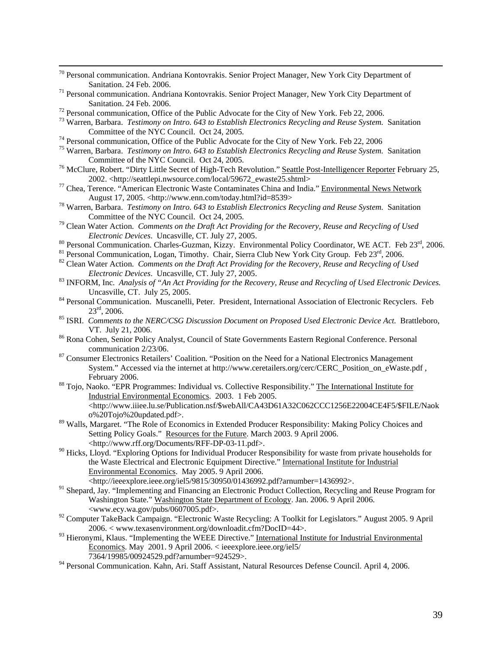| <sup>70</sup> Personal communication. Andriana Kontovrakis. Senior Project Manager, New York City Department of |  |  |  |  |  |
|-----------------------------------------------------------------------------------------------------------------|--|--|--|--|--|
| Sanitation. 24 Feb. 2006.                                                                                       |  |  |  |  |  |
| .                                                                                                               |  |  |  |  |  |

- Personal communication. Andriana Kontovrakis. Senior Project Manager, New York City Department of Sanitation. 24 Feb. 2006.<br><sup>72</sup> Personal communication, Office of the Public Advocate for the City of New York. Feb 22, 2006.<br><sup>73</sup> Warren, Barbara. *Testimony on Intro. 643 to Establish Electronics Recycling and Reuse Syste*
- 
- Committee of the NYC Council. Oct 24, 2005.<br><sup>74</sup> Personal communication, Office of the Public Advocate for the City of New York. Feb 22, 2006<br><sup>75</sup> Warren, Barbara. *Testimony on Intro. 643 to Establish Electronics Recyclin*
- 
- Committee of the NYC Council. Oct 24, 2005. 76 McClure, Robert. "Dirty Little Secret of High-Tech Revolution." Seattle Post-Intelligencer Reporter February 25,
- 2002. <http://seattlepi.nwsource.com/local/59672\_ewaste25.shtml> 77 Chea, Terence. "American Electronic Waste Contaminates China and India." Environmental News Network
- August 17, 2005. <http://www.enn.com/today.html?id=8539> 78 Warren, Barbara. *Testimony on Intro. 643 to Establish Electronics Recycling and Reuse System.* Sanitation
- 
- Committee of the NYC Council. Oct 24, 2005.<br><sup>79</sup> Clean Water Action. *Comments on the Draft Act Providing for the Recovery, Reuse and Recycling of Used Electronic Devices. Uncasville, CT. July 27, 2005.*
- 
- 
- <sup>80</sup> Personal Communication. Charles-Guzman, Kizzy. Environmental Policy Coordinator, WE ACT. Feb  $23^{\text{rd}}$ , 2006.<br><sup>81</sup> Personal Communication, Logan, Timothy. Chair, Sierra Club New York City Group. Feb  $23^{\text{rd}}$ , 2006
- *Electronic Devices.* Uncasville, CT. July 27, 2005.<br><sup>83</sup> INFORM, Inc. *Analysis of "An Act Providing for the Recovery, Reuse and Recycling of Used Electronic Devices.*
- Uncasville, CT. July 25, 2005.<br><sup>84</sup> Personal Communication. Muscanelli, Peter. President, International Association of Electronic Recyclers. Feb<br> $23<sup>rd</sup>$ , 2006.
- <sup>85</sup> ISRI. *Comments to the NERC/CSG Discussion Document on Proposed Used Electronic Device Act.* Brattleboro, VT. July 21, 2006.<br><sup>86</sup> Rona Cohen, Senior Policy Analyst, Council of State Governments Eastern Regional Conference. Personal
- communication 2/23/06. 87 Consumer Electronics Retailers' Coalition. "Position on the Need for a National Electronics Management
- System." Accessed via the internet at http://www.ceretailers.org/cerc/CERC\_Position\_on\_eWaste.pdf , February 2006.<br><sup>88</sup> Tojo, Naoko. "EPR Programmes: Individual vs. Collective Responsibility." The International Institute for
- Industrial Environmental Economics. 2003. 1 Feb 2005. <http://www.iiiee.lu.se/Publication.nsf/\$webAll/CA43D61A32C062CCC1256E22004CE4F5/\$FILE/Naok o%20Tojo%20updated.pdf>.
- <sup>89</sup> Walls, Margaret. "The Role of Economics in Extended Producer Responsibility: Making Policy Choices and Setting Policy Goals." Resources for the Future. March 2003. 9 April 2006. <http://www.rff.org/Documents/RFF-DP-03-11.pdf>.
- <sup>90</sup> Hicks, Lloyd. "Exploring Options for Individual Producer Responsibility for waste from private households for the Waste Electrical and Electronic Equipment Directive." International Institute for Industrial Environmental Economics. May 2005. 9 April 2006.
	- <http://ieeexplore.ieee.org/iel5/9815/30950/01436992.pdf?arnumber=1436992>.
- <sup>91</sup> Shepard, Jay. "Implementing and Financing an Electronic Product Collection, Recycling and Reuse Program for Washington State." Washington State Department of Ecology. Jan. 2006. 9 April 2006. <www.ecy.wa.gov/pubs/0607005.pdf>.
- <sup>92</sup> Computer TakeBack Campaign. "Electronic Waste Recycling: A Toolkit for Legislators." August 2005. 9 April 2006. < www.texasenvironment.org/downloadit.cfm?DocID=44>.
- 93 Hieronymi, Klaus. "Implementing the WEEE Directive." International Institute for Industrial Environmental Economics. May 2001. 9 April 2006. < ieeexplore.ieee.org/iel5/ 7364/19985/00924529.pdf?arnumber=924529>.
- 94 Personal Communication. Kahn, Ari. Staff Assistant, Natural Resources Defense Council. April 4, 2006.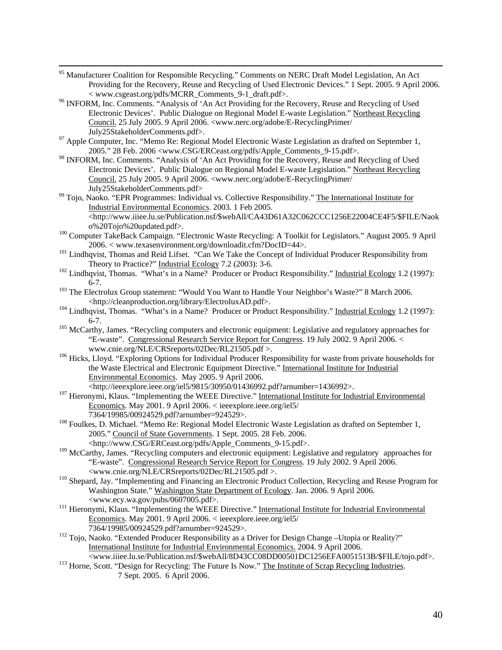- 95 Manufacturer Coalition for Responsible Recycling." Comments on NERC Draft Model Legislation, An Act Providing for the Recovery, Reuse and Recycling of Used Electronic Devices." 1 Sept. 2005. 9 April 2006.
- <sup>&</sup>lt; www.csgeast.org/pdfs/MCRR\_Comments\_9-1\_draft.pdf>. 96 INFORM, Inc. Comments. "Analysis of 'An Act Providing for the Recovery, Reuse and Recycling of Used Electronic Devices'. Public Dialogue on Regional Model E-waste Legislation." Northeast Recycling Council. 25 July 2005. 9 April 2006. <www.nerc.org/adobe/E-RecyclingPrimer/
- July25StakeholderComments.pdf>. 97 Apple Computer, Inc. "Memo Re: Regional Model Electronic Waste Legislation as drafted on September 1, 2005." 28 Feb. 2006 <www.CSG/ERCeast.org/pdfs/Apple\_Comments\_9-15.pdf>.
- 98 INFORM, Inc. Comments. "Analysis of 'An Act Providing for the Recovery, Reuse and Recycling of Used Electronic Devices'. Public Dialogue on Regional Model E-waste Legislation." Northeast Recycling Council. 25 July 2005. 9 April 2006. <www.nerc.org/adobe/E-RecyclingPrimer/
- July25StakeholderComments.pdf> 99 Tojo, Naoko. "EPR Programmes: Individual vs. Collective Responsibility." The International Institute for Industrial Environmental Economics. 2003. 1 Feb 2005. <http://www.iiiee.lu.se/Publication.nsf/\$webAll/CA43D61A32C062CCC1256E22004CE4F5/\$FILE/Naok
- o%20Tojo%20updated.pdf>. 100 Computer TakeBack Campaign. "Electronic Waste Recycling: A Toolkit for Legislators." August 2005. 9 April
- 2006. < www.texasenvironment.org/downloadit.cfm?DocID=44>.<br>
<sup>101</sup> Lindhqvist, Thomas and Reid Lifset. "Can We Take the Concept of Individual Producer Responsibility from<br>
Theory to Practice?" Industrial Ecology 7.2 (2003):
- $102$  Lindhqvist, Thomas. "What's in a Name? Producer or Product Responsibility." Industrial Ecology 1.2 (1997): 6-7. 103 The Electrolux Group statement: "Would You Want to Handle Your Neighbor's Waste?" 8 March 2006.
- <http://cleanproduction.org/library/ElectroluxAD.pdf>. 104 Lindhqvist, Thomas. "What's in a Name? Producer or Product Responsibility." Industrial Ecology 1.2 (1997):
- 6-7. 105 McCarthy, James. "Recycling computers and electronic equipment: Legislative and regulatory approaches for
- "E-waste". Congressional Research Service Report for Congress. 19 July 2002. 9 April 2006. <<br>www.cnie.org/NLE/CRSreports/02Dec/RL21505.pdf >.
- <sup>106</sup> Hicks, Lloyd. "Exploring Options for Individual Producer Responsibility for waste from private households for the Waste Electrical and Electronic Equipment Directive." International Institute for Industrial Environmental Economics. May 2005. 9 April 2006.
- <http://ieeexplore.ieee.org/iel5/9815/30950/01436992.pdf?arnumber=1436992>. 107 Hieronymi, Klaus. "Implementing the WEEE Directive." International Institute for Industrial Environmental Economics. May 2001. 9 April 2006. < ieeexplore.ieee.org/iel5/
- 7364/19985/00924529.pdf?arnumber=924529>. 108 Foulkes, D. Michael. "Memo Re: Regional Model Electronic Waste Legislation as drafted on September 1, 2005." Council of State Governments. 1 Sept. 2005. 28 Feb. 2006. <http://www.CSG/ERCeast.org/pdfs/Apple\_Comments\_9-15.pdf>.
- <sup>109</sup> McCarthy, James. "Recycling computers and electronic equipment: Legislative and regulatory approaches for "E-waste". Congressional Research Service Report for Congress. 19 July 2002. 9 April 2006.
	-
- <www.cnie.org/NLE/CRSreports/02Dec/RL21505.pdf >. 110 Shepard, Jay. "Implementing and Financing an Electronic Product Collection, Recycling and Reuse Program for Washington State." Washington State Department of Ecology. Jan. 2006. 9 April 2006. <www.ecy.wa.gov/pubs/0607005.pdf>. 111 Hieronymi, Klaus. "Implementing the WEEE Directive." International Institute for Industrial Environmental
- Economics. May 2001. 9 April 2006. < ieeexplore.ieee.org/iel5/<br>7364/19985/00924529.pdf?arnumber=924529>.
- <sup>112</sup> Tojo, Naoko. "Extended Producer Responsibility as a Driver for Design Change –Utopia or Reality?" International Institute for Industrial Environmental Economics. 2004. 9 April 2006.
- <www.iiiee.lu.se/Publication.nsf/\$webAll/8D43CC08DD00501DC1256EFA0051513B/\$FILE/tojo.pdf>. 113 Horne, Scott. "Design for Recycling: The Future Is Now." The Institute of Scrap Recycling Industries. 7 Sept. 2005. 6 April 2006.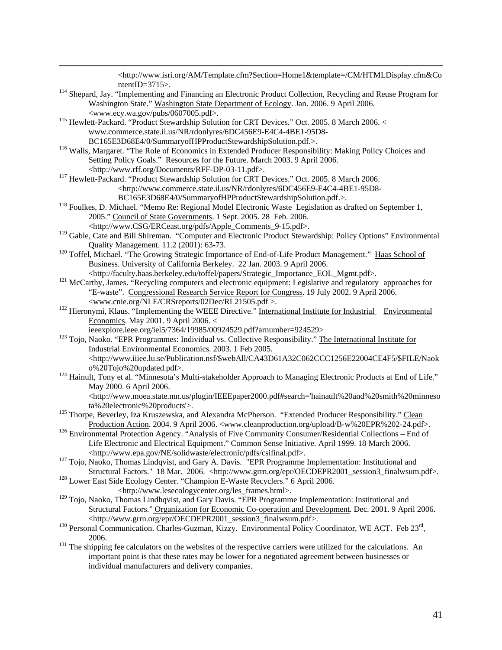<http://www.isri.org/AM/Template.cfm?Section=Home1&template=/CM/HTMLDisplay.cfm&Co ntentID=3715>.<br><sup>114</sup> Shepard, Jay. "Implementing and Financing an Electronic Product Collection, Recycling and Reuse Program for Washington State." Washington State Department of Ecology. Jan. 2006. 9 April 2006.<br><www.ecy.wa.gov/pubs/0607005.pdf>.  $^{115}$  Hewlett-Packard. "Product Stewardship Solution for CRT Devices." Oct. 2005. 8 March 2006. < www.commerce.state.il.us/NR/rdonlyres/6DC456E9-E4C4-4BE1-95D8- BC165E3D68E4/0/SummaryofHPProductStewardshipSolution.pdf.>.<br><sup>116</sup> Walls, Margaret. "The Role of Economics in Extended Producer Responsibility: Making Policy Choices and Setting Policy Goals." Resources for the Future. March 2003. 9 April 2006. <http://www.rff.org/Documents/RFF-DP-03-11.pdf>. 117 Hewlett-Packard. "Product Stewardship Solution for CRT Devices." Oct. 2005. 8 March 2006. <http://www.commerce.state.il.us/NR/rdonlyres/6DC456E9-E4C4-4BE1-95D8- BC165E3D68E4/0/SummaryofHPProductStewardshipSolution.pdf.>.<br><sup>118</sup> Foulkes, D. Michael. "Memo Re: Regional Model Electronic Waste Legislation as drafted on September 1, 2005." Council of State Governments. 1 Sept. 2005. 28 Feb. 2006. <http://www.CSG/ERCeast.org/pdfs/Apple\_Comments\_9-15.pdf>. <sup>119</sup> Gable, Cate and Bill Shireman. "Computer and Electronic Product Stewardship: Policy Options" Environmental Quality Management. 11.2 (2001): 63-73.<br><sup>120</sup> Toffel, Michael. "The Growing Strategic Importance of End-of-Life Product Management." Haas School of Business. University of California Berkeley. 22 Jan. 2003. 9 April 2006. <http://faculty.haas.berkeley.edu/toffel/papers/Strategic\_Importance\_EOL\_Mgmt.pdf>. 121 McCarthy, James. "Recycling computers and electronic equipment: Legislative and regulatory approaches for "E-waste". Congressional Research Service Report for Congress. 19 July 2002. 9 April 2006. <www.cnie.org/NLE/CRSreports/02Dec/RL21505.pdf >. 122 Hieronymi, Klaus. "Implementing the WEEE Directive." International Institute for Industrial Environmental Economics. May 2001. 9 April 2006. < ieeexplore.ieee.org/iel5/7364/19985/00924529.pdf?arnumber=924529><br><sup>123</sup> Tojo, Naoko. "EPR Programmes: Individual vs. Collective Responsibility." <u>The International Institute for</u> Industrial Environmental Economics. 2003. 1 Feb 2005. <http://www.iiiee.lu.se/Publication.nsf/\$webAll/CA43D61A32C062CCC1256E22004CE4F5/\$FILE/Naok o%20Tojo%20updated.pdf>. 124 Hainult, Tony et al. "Minnesota's Multi-stakeholder Approach to Managing Electronic Products at End of Life." May 2000. 6 April 2006. <http://www.moea.state.mn.us/plugin/IEEEpaper2000.pdf#search='hainault%20and%20smith%20minneso ta%20electronic%20products'>.<br>
<sup>125</sup> Thorpe, Beverley, Iza Kruszewska, and Alexandra McPherson. "Extended Producer Responsibility." Clean<br>
Production Action. 2004. 9 April 2006. <www.cleanproduction.org/upload/B-w%20EPR%20 <sup>126</sup> Environmental Protection Agency. "Analysis of Five Community Consumer/Residential Collections – End of Life Electronic and Electrical Equipment." Common Sense Initiative. April 1999. 18 March 2006. <http://www.epa.gov/NE/solidwaste/electronic/pdfs/csifinal.pdf>. <sup>127</sup> Tojo, Naoko, Thomas Lindqvist, and Gary A. Davis. "EPR Programme Implementation: Institutional and Structural Factors." 18 Mar. 2006. <http://www.grrn.org/epr/OECDEPR2001\_session3\_finalwsum.pdf>. 128 Lower East Side Ecology Center. "Champion E-Waste Recyclers." 6 April 2006. <http://www.lesecologycenter.org/les\_frames.html>. <sup>129</sup> Tojo, Naoko, Thomas Lindhqvist, and Gary Davis. "EPR Programme Implementation: Institutional and Structural Factors." Organization for Economic Co-operation and Development. Dec. 2001. 9 April 2006. <http://www.grrn.org/epr/OECDEPR2001\_session3\_finalwsum.pdf>. 130 Personal Communication. Charles-Guzman, Kizzy. Environmental Policy Coordinator, WE ACT. Feb 23rd, 2006. 131 The shipping fee calculators on the websites of the respective carriers were utilized for the calculations. An important point is that these rates may be lower for a negotiated agreement between businesses or individual manufacturers and delivery companies.